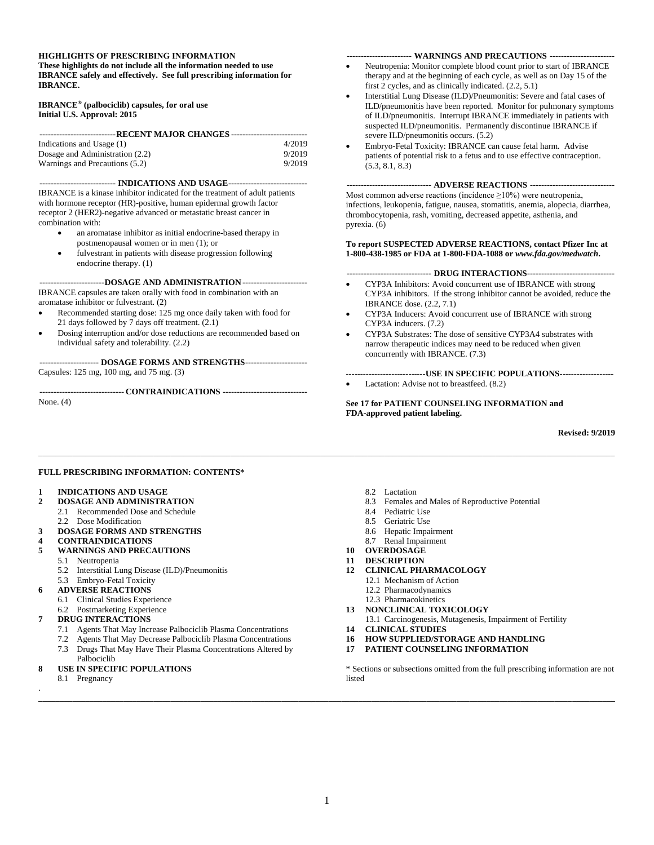#### **HIGHLIGHTS OF PRESCRIBING INFORMATION**

**These highlights do not include all the information needed to use IBRANCE safely and effectively. See full prescribing information for IBRANCE.**

**IBRANCE® (palbociclib) capsules, for oral use Initial U.S. Approval: 2015**

| ----------------------------- RECENT MAJOR CHANGES ---------------------------- |        |  |  |  |
|---------------------------------------------------------------------------------|--------|--|--|--|
| Indications and Usage (1)                                                       | 4/2019 |  |  |  |
| Dosage and Administration (2.2)                                                 | 9/2019 |  |  |  |
| Warnings and Precautions (5.2)                                                  | 9/2019 |  |  |  |

**--------------------------- INDICATIONS AND USAGE----------------------------** IBRANCE is a kinase inhibitor indicated for the treatment of adult patients with hormone receptor (HR)-positive, human epidermal growth factor receptor 2 (HER2)-negative advanced or metastatic breast cancer in combination with:

- an aromatase inhibitor as initial endocrine-based therapy in postmenopausal women or in men (1); or
- fulvestrant in patients with disease progression following endocrine therapy. (1)

**-----------------------DOSAGE AND ADMINISTRATION-----------------------** IBRANCE capsules are taken orally with food in combination with an aromatase inhibitor or fulvestrant. (2)

- Recommended starting dose: 125 mg once daily taken with food for 21 days followed by 7 days off treatment. (2.1)
- Dosing interruption and/or dose reductions are recommended based on individual safety and tolerability. (2.2)

**--------------------- DOSAGE FORMS AND STRENGTHS----------------------** Capsules: 125 mg, 100 mg, and 75 mg. (3)

**------------------------------ CONTRAINDICATIONS ------------------------------**

None. (4)

#### **----------------------- WARNINGS AND PRECAUTIONS -----------------------**

- Neutropenia: Monitor complete blood count prior to start of IBRANCE therapy and at the beginning of each cycle, as well as on Day 15 of the first 2 cycles, and as clinically indicated. (2.2, 5.1)
- Interstitial Lung Disease (ILD)/Pneumonitis: Severe and fatal cases of ILD/pneumonitis have been reported. Monitor for pulmonary symptoms of ILD/pneumonitis. Interrupt IBRANCE immediately in patients with suspected ILD/pneumonitis. Permanently discontinue IBRANCE if severe ILD/pneumonitis occurs. (5.2)
- Embryo-Fetal Toxicity: IBRANCE can cause fetal harm. Advise patients of potential risk to a fetus and to use effective contraception. (5.3, 8.1, 8.3)

#### **------------------------------ ADVERSE REACTIONS ------------------------------**

Most common adverse reactions (incidence  $\geq 10\%$ ) were neutropenia, infections, leukopenia, fatigue, nausea, stomatitis, anemia, alopecia, diarrhea, thrombocytopenia, rash, vomiting, decreased appetite, asthenia, and pyrexia. (6)

#### **To report SUSPECTED ADVERSE REACTIONS, contact Pfizer Inc at 1-800-438-1985 or FDA at 1-800-FDA-1088 or** *[www.fda.gov/medwatch](http://www.fda.gov/medwatch)***.**

#### **------------------------------ DRUG INTERACTIONS-------------------------------**

- CYP3A Inhibitors: Avoid concurrent use of IBRANCE with strong CYP3A inhibitors. If the strong inhibitor cannot be avoided, reduce the IBRANCE dose. (2.2, 7.1)
- CYP3A Inducers: Avoid concurrent use of IBRANCE with strong CYP3A inducers. (7.2)
- CYP3A Substrates: The dose of sensitive CYP3A4 substrates with narrow therapeutic indices may need to be reduced when given concurrently with IBRANCE. (7.3)
- ----------------------------**USE IN SPECIFIC POPULATIONS**------------------- Lactation: Advise not to breastfeed.  $(8.2)$

**See 17 for PATIENT COUNSELING INFORMATION and FDA-approved patient labeling.**

#### **Revised: 9/2019**

#### **FULL PRESCRIBING INFORMATION: CONTENTS\***

- **1 INDICATIONS AND USAGE**
- **2 DOSAGE AND ADMINISTRATION**
	- 2.1 Recommended Dose and Schedule
	- 2.2 Dose Modification
- **3 DOSAGE FORMS AND STRENGTHS**
- **4 CONTRAINDICATIONS**
- **5 WARNINGS AND PRECAUTIONS**
	- 5.1 Neutropenia
	- 5.2 Interstitial Lung Disease (ILD)/Pneumonitis
	- 5.3 Embryo-Fetal Toxicity
- **6 ADVERSE REACTIONS**
	- 6.1 Clinical Studies Experience
	- 6.2 Postmarketing Experience
- **7 DRUG INTERACTIONS**
	- 7.1 Agents That May Increase Palbociclib Plasma Concentrations
	- 7.2 Agents That May Decrease Palbociclib Plasma Concentrations
	- 7.3 Drugs That May Have Their Plasma Concentrations Altered by Palbociclib
- **8 USE IN SPECIFIC POPULATIONS**
- 8.1 Pregnancy .
- 8.2 Lactation
- 8.3 Females and Males of Reproductive Potential
- 8.4 Pediatric Use
- 8.5 Geriatric Use
- 8.6 Hepatic Impairment
- 8.7 Renal Impairment
- **10 OVERDOSAGE**
- **11 DESCRIPTION**
- **12 CLINICAL PHARMACOLOGY**
	- 12.1 Mechanism of Action
	- 12.2 Pharmacodynamics
	- 12.3 Pharmacokinetics
- **13 NONCLINICAL TOXICOLOGY**
- 13.1 Carcinogenesis, Mutagenesis, Impairment of Fertility
- **14 CLINICAL STUDIES**
- **16 HOW SUPPLIED/STORAGE AND HANDLING**
- **17 PATIENT COUNSELING INFORMATION**

\* Sections or subsections omitted from the full prescribing information are not listed

**\_\_\_\_\_\_\_\_\_\_\_\_\_\_\_\_\_\_\_\_\_\_\_\_\_\_\_\_\_\_\_\_\_\_\_\_\_\_\_\_\_\_\_\_\_\_\_\_\_\_\_\_\_\_\_\_\_\_\_\_\_\_\_\_\_\_\_\_\_\_\_\_\_\_\_\_\_\_\_\_\_\_\_\_\_\_\_\_\_\_\_\_\_\_\_\_\_\_\_\_\_\_\_\_\_\_\_\_\_\_\_\_\_\_\_\_\_\_\_\_\_\_\_\_\_\_\_\_\_\_\_\_\_\_\_**

\_\_\_\_\_\_\_\_\_\_\_\_\_\_\_\_\_\_\_\_\_\_\_\_\_\_\_\_\_\_\_\_\_\_\_\_\_\_\_\_\_\_\_\_\_\_\_\_\_\_\_\_\_\_\_\_\_\_\_\_\_\_\_\_\_\_\_\_\_\_\_\_\_\_\_\_\_\_\_\_\_\_\_\_\_\_\_\_\_\_\_\_\_\_\_\_\_\_\_\_\_\_\_\_\_\_\_\_\_\_\_\_\_\_\_\_\_\_\_\_\_\_\_\_\_\_\_\_\_\_\_\_\_\_\_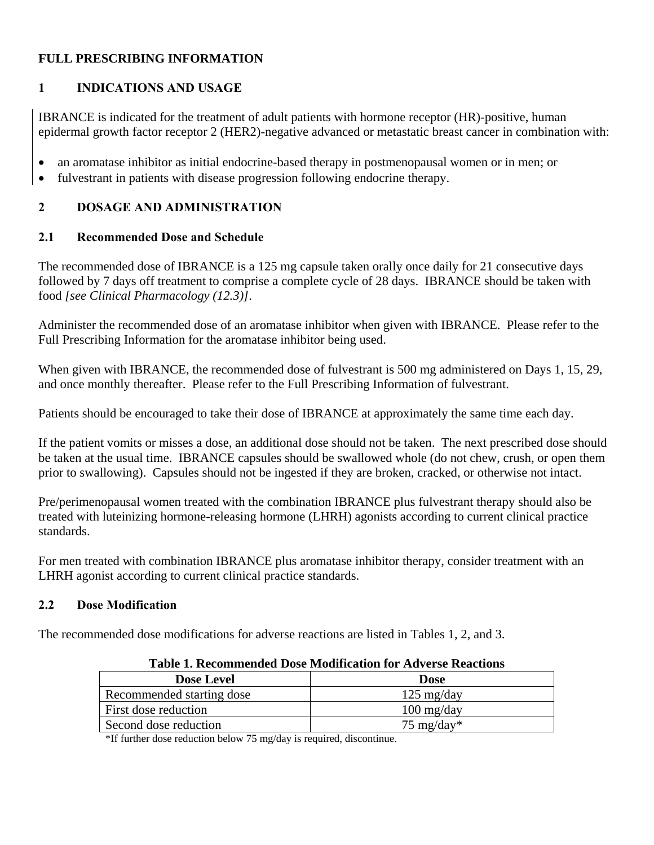# **FULL PRESCRIBING INFORMATION**

# **1 INDICATIONS AND USAGE**

IBRANCE is indicated for the treatment of adult patients with hormone receptor (HR)-positive, human epidermal growth factor receptor 2 (HER2)-negative advanced or metastatic breast cancer in combination with:

- an aromatase inhibitor as initial endocrine-based therapy in postmenopausal women or in men; or
- fulvestrant in patients with disease progression following endocrine therapy.

# **2 DOSAGE AND ADMINISTRATION**

# **2.1 Recommended Dose and Schedule**

The recommended dose of IBRANCE is a 125 mg capsule taken orally once daily for 21 consecutive days followed by 7 days off treatment to comprise a complete cycle of 28 days. IBRANCE should be taken with food *[see Clinical Pharmacology (12.3)]*.

Administer the recommended dose of an aromatase inhibitor when given with IBRANCE. Please refer to the Full Prescribing Information for the aromatase inhibitor being used.

When given with IBRANCE, the recommended dose of fulvestrant is 500 mg administered on Days 1, 15, 29, and once monthly thereafter. Please refer to the Full Prescribing Information of fulvestrant.

Patients should be encouraged to take their dose of IBRANCE at approximately the same time each day.

If the patient vomits or misses a dose, an additional dose should not be taken. The next prescribed dose should be taken at the usual time. IBRANCE capsules should be swallowed whole (do not chew, crush, or open them prior to swallowing). Capsules should not be ingested if they are broken, cracked, or otherwise not intact.

Pre/perimenopausal women treated with the combination IBRANCE plus fulvestrant therapy should also be treated with luteinizing hormone-releasing hormone (LHRH) agonists according to current clinical practice standards.

For men treated with combination IBRANCE plus aromatase inhibitor therapy, consider treatment with an LHRH agonist according to current clinical practice standards.

# **2.2 Dose Modification**

The recommended dose modifications for adverse reactions are listed in Tables 1, 2, and 3.

| Table 1. Recommended Dose Modification for Adverse Reactions |                                    |  |  |  |
|--------------------------------------------------------------|------------------------------------|--|--|--|
| <b>Dose Level</b>                                            | <b>Dose</b>                        |  |  |  |
| Recommended starting dose                                    | $125 \text{ mg/day}$               |  |  |  |
| First dose reduction                                         | $100 \frac{\text{mg}}{\text{day}}$ |  |  |  |
| Second dose reduction                                        | 75 mg/day*                         |  |  |  |

**Table 1. Recommended Dose Modification for Adverse Reactions**

\*If further dose reduction below 75 mg/day is required, discontinue.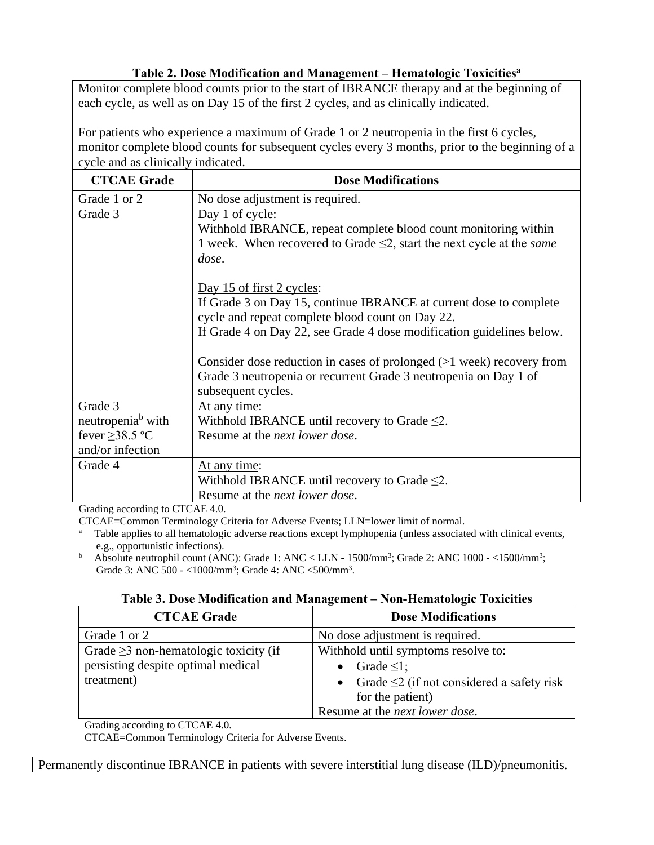# **Table 2. Dose Modification and Management – Hematologic Toxicities<sup>a</sup>**

Monitor complete blood counts prior to the start of IBRANCE therapy and at the beginning of each cycle, as well as on Day 15 of the first 2 cycles, and as clinically indicated.

For patients who experience a maximum of Grade 1 or 2 neutropenia in the first 6 cycles, monitor complete blood counts for subsequent cycles every 3 months, prior to the beginning of a cycle and as clinically indicated.

| <b>CTCAE Grade</b>            | <b>Dose Modifications</b>                                                  |
|-------------------------------|----------------------------------------------------------------------------|
| Grade 1 or 2                  | No dose adjustment is required.                                            |
| Grade 3                       | Day 1 of cycle:                                                            |
|                               | Withhold IBRANCE, repeat complete blood count monitoring within            |
|                               | 1 week. When recovered to Grade $\leq$ 2, start the next cycle at the same |
|                               | dose.                                                                      |
|                               |                                                                            |
|                               | Day 15 of first 2 cycles:                                                  |
|                               | If Grade 3 on Day 15, continue IBRANCE at current dose to complete         |
|                               | cycle and repeat complete blood count on Day 22.                           |
|                               | If Grade 4 on Day 22, see Grade 4 dose modification guidelines below.      |
|                               |                                                                            |
|                               | Consider dose reduction in cases of prolonged $(>1$ week) recovery from    |
|                               | Grade 3 neutropenia or recurrent Grade 3 neutropenia on Day 1 of           |
|                               | subsequent cycles.                                                         |
| Grade 3                       | At any time:                                                               |
| neutropenia <sup>b</sup> with | Withhold IBRANCE until recovery to Grade $\leq 2$ .                        |
| fever $\geq$ 38.5 °C          | Resume at the <i>next lower dose</i> .                                     |
| and/or infection              |                                                                            |
| Grade 4                       | At any time:                                                               |
|                               | Withhold IBRANCE until recovery to Grade $\leq 2$ .                        |
|                               | Resume at the <i>next lower dose</i> .                                     |

Grading according to CTCAE 4.0.

CTCAE=Common Terminology Criteria for Adverse Events; LLN=lower limit of normal.

Table applies to all hematologic adverse reactions except lymphopenia (unless associated with clinical events, e.g., opportunistic infections).

<sup>b</sup> Absolute neutrophil count (ANC): Grade 1: ANC < LLN -  $1500/\text{mm}^3$ ; Grade 2: ANC 1000 - <1500/mm<sup>3</sup>; Grade 3: ANC 500 - <1000/mm<sup>3</sup>; Grade 4: ANC <500/mm<sup>3</sup>.

|  | Table 3. Dose Modification and Management - Non-Hematologic Toxicities |  |  |  |
|--|------------------------------------------------------------------------|--|--|--|
|  |                                                                        |  |  |  |

| <b>CTCAE Grade</b>                          | <b>Dose Modifications</b>                         |
|---------------------------------------------|---------------------------------------------------|
| Grade 1 or 2                                | No dose adjustment is required.                   |
| Grade $\geq$ 3 non-hematologic toxicity (if | Withhold until symptoms resolve to:               |
| persisting despite optimal medical          | Grade $\leq$ 1;                                   |
| treatment)                                  | • Grade $\leq$ 2 (if not considered a safety risk |
|                                             | for the patient)                                  |
|                                             | Resume at the <i>next lower dose</i> .            |

Grading according to CTCAE 4.0.

CTCAE=Common Terminology Criteria for Adverse Events.

Permanently discontinue IBRANCE in patients with severe interstitial lung disease (ILD)/pneumonitis.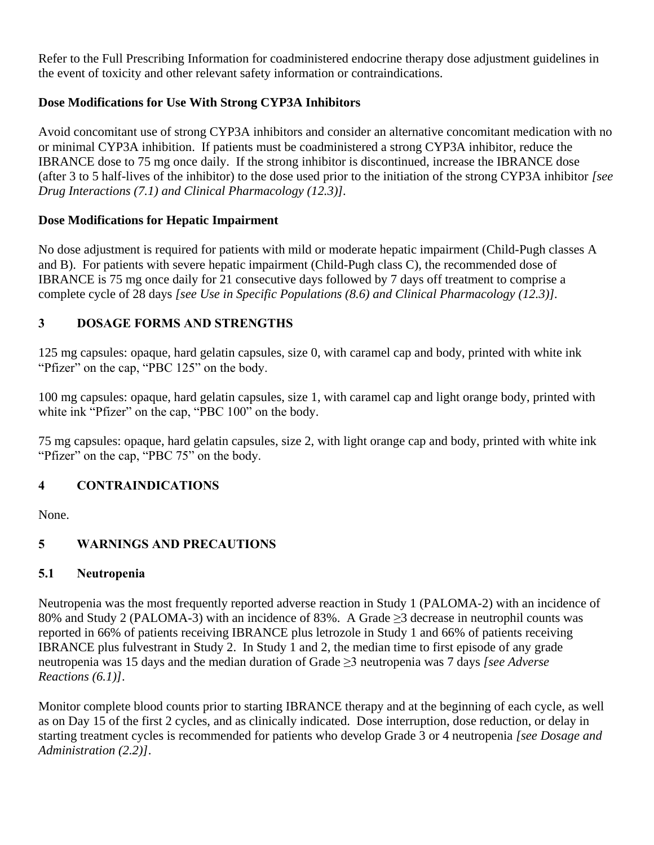Refer to the Full Prescribing Information for coadministered endocrine therapy dose adjustment guidelines in the event of toxicity and other relevant safety information or contraindications.

# **Dose Modifications for Use With Strong CYP3A Inhibitors**

Avoid concomitant use of strong CYP3A inhibitors and consider an alternative concomitant medication with no or minimal CYP3A inhibition. If patients must be coadministered a strong CYP3A inhibitor, reduce the IBRANCE dose to 75 mg once daily. If the strong inhibitor is discontinued, increase the IBRANCE dose (after 3 to 5 half-lives of the inhibitor) to the dose used prior to the initiation of the strong CYP3A inhibitor *[see Drug Interactions (7.1) and Clinical Pharmacology (12.3)].*

# **Dose Modifications for Hepatic Impairment**

No dose adjustment is required for patients with mild or moderate hepatic impairment (Child-Pugh classes A and B). For patients with severe hepatic impairment (Child-Pugh class C), the recommended dose of IBRANCE is 75 mg once daily for 21 consecutive days followed by 7 days off treatment to comprise a complete cycle of 28 days *[see Use in Specific Populations (8.6) and Clinical Pharmacology (12.3)].* 

# **3 DOSAGE FORMS AND STRENGTHS**

125 mg capsules: opaque, hard gelatin capsules, size 0, with caramel cap and body, printed with white ink "Pfizer" on the cap, "PBC 125" on the body.

100 mg capsules: opaque, hard gelatin capsules, size 1, with caramel cap and light orange body, printed with white ink "Pfizer" on the cap, "PBC 100" on the body.

75 mg capsules: opaque, hard gelatin capsules, size 2, with light orange cap and body, printed with white ink "Pfizer" on the cap, "PBC 75" on the body.

# **4 CONTRAINDICATIONS**

None.

# **5 WARNINGS AND PRECAUTIONS**

# **5.1 Neutropenia**

Neutropenia was the most frequently reported adverse reaction in Study 1 (PALOMA-2) with an incidence of 80% and Study 2 (PALOMA-3) with an incidence of 83%. A Grade >3 decrease in neutrophil counts was reported in 66% of patients receiving IBRANCE plus letrozole in Study 1 and 66% of patients receiving IBRANCE plus fulvestrant in Study 2. In Study 1 and 2, the median time to first episode of any grade neutropenia was 15 days and the median duration of Grade ≥3 neutropenia was 7 days *[see Adverse Reactions (6.1)]*.

Monitor complete blood counts prior to starting IBRANCE therapy and at the beginning of each cycle, as well as on Day 15 of the first 2 cycles, and as clinically indicated. Dose interruption, dose reduction, or delay in starting treatment cycles is recommended for patients who develop Grade 3 or 4 neutropenia *[see Dosage and Administration (2.2)]*.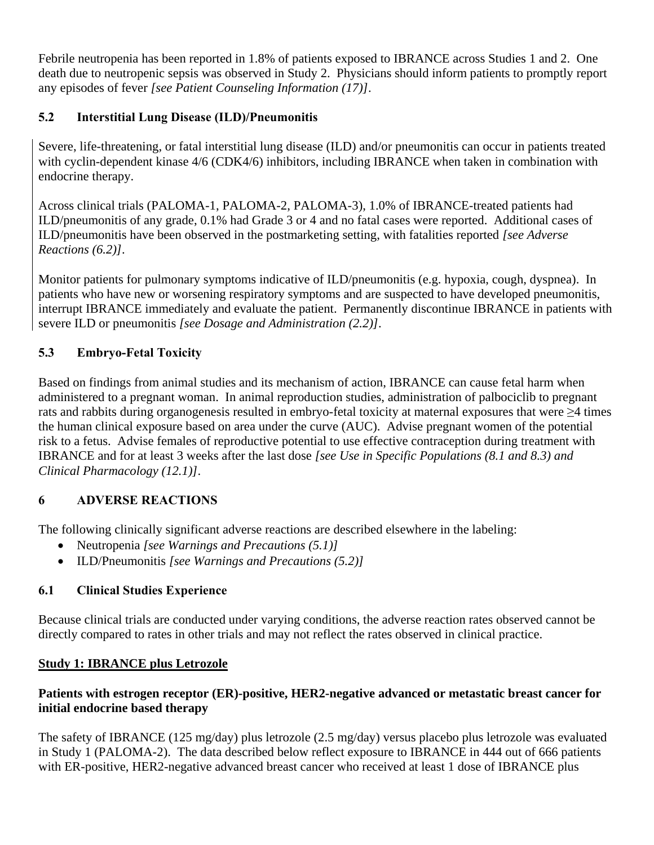Febrile neutropenia has been reported in 1.8% of patients exposed to IBRANCE across Studies 1 and 2. One death due to neutropenic sepsis was observed in Study 2. Physicians should inform patients to promptly report any episodes of fever *[see Patient Counseling Information (17)]*.

# **5.2 Interstitial Lung Disease (ILD)/Pneumonitis**

Severe, life-threatening, or fatal interstitial lung disease (ILD) and/or pneumonitis can occur in patients treated with cyclin-dependent kinase 4/6 (CDK4/6) inhibitors, including IBRANCE when taken in combination with endocrine therapy.

Across clinical trials (PALOMA-1, PALOMA-2, PALOMA-3), 1.0% of IBRANCE-treated patients had ILD/pneumonitis of any grade, 0.1% had Grade 3 or 4 and no fatal cases were reported. Additional cases of ILD/pneumonitis have been observed in the postmarketing setting, with fatalities reported *[see Adverse Reactions (6.2)]*.

Monitor patients for pulmonary symptoms indicative of ILD/pneumonitis (e.g. hypoxia, cough, dyspnea). In patients who have new or worsening respiratory symptoms and are suspected to have developed pneumonitis, interrupt IBRANCE immediately and evaluate the patient. Permanently discontinue IBRANCE in patients with severe ILD or pneumonitis *[see Dosage and Administration (2.2)]*.

# **5.3 Embryo-Fetal Toxicity**

Based on findings from animal studies and its mechanism of action, IBRANCE can cause fetal harm when administered to a pregnant woman. In animal reproduction studies, administration of palbociclib to pregnant rats and rabbits during organogenesis resulted in embryo-fetal toxicity at maternal exposures that were ≥4 times the human clinical exposure based on area under the curve (AUC). Advise pregnant women of the potential risk to a fetus. Advise females of reproductive potential to use effective contraception during treatment with IBRANCE and for at least 3 weeks after the last dose *[see Use in Specific Populations (8.1 and 8.3) and Clinical Pharmacology (12.1)]*.

# **6 ADVERSE REACTIONS**

The following clinically significant adverse reactions are described elsewhere in the labeling:

- Neutropenia *[see Warnings and Precautions (5.1)]*
- ILD/Pneumonitis *[see Warnings and Precautions (5.2)]*

# **6.1 Clinical Studies Experience**

Because clinical trials are conducted under varying conditions, the adverse reaction rates observed cannot be directly compared to rates in other trials and may not reflect the rates observed in clinical practice.

# **Study 1: IBRANCE plus Letrozole**

# **Patients with estrogen receptor (ER)-positive, HER2-negative advanced or metastatic breast cancer for initial endocrine based therapy**

The safety of IBRANCE (125 mg/day) plus letrozole (2.5 mg/day) versus placebo plus letrozole was evaluated in Study 1 (PALOMA-2). The data described below reflect exposure to IBRANCE in 444 out of 666 patients with ER-positive, HER2-negative advanced breast cancer who received at least 1 dose of IBRANCE plus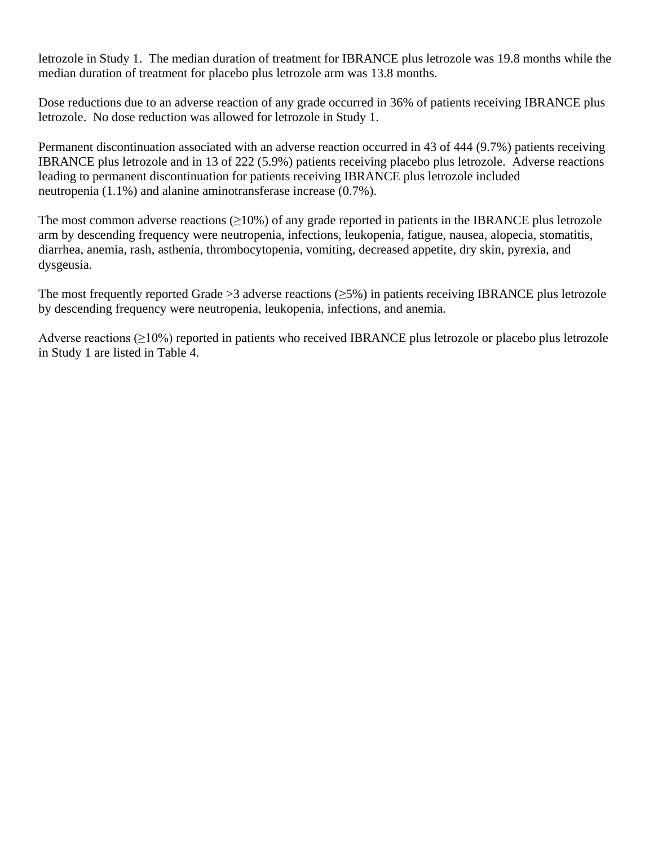letrozole in Study 1. The median duration of treatment for IBRANCE plus letrozole was 19.8 months while the median duration of treatment for placebo plus letrozole arm was 13.8 months.

Dose reductions due to an adverse reaction of any grade occurred in 36% of patients receiving IBRANCE plus letrozole. No dose reduction was allowed for letrozole in Study 1.

Permanent discontinuation associated with an adverse reaction occurred in 43 of 444 (9.7%) patients receiving IBRANCE plus letrozole and in 13 of 222 (5.9%) patients receiving placebo plus letrozole. Adverse reactions leading to permanent discontinuation for patients receiving IBRANCE plus letrozole included neutropenia (1.1%) and alanine aminotransferase increase (0.7%).

The most common adverse reactions  $(\geq 10\%)$  of any grade reported in patients in the IBRANCE plus letrozole arm by descending frequency were neutropenia, infections, leukopenia, fatigue, nausea, alopecia, stomatitis, diarrhea, anemia, rash, asthenia, thrombocytopenia, vomiting, decreased appetite, dry skin, pyrexia, and dysgeusia.

The most frequently reported Grade >3 adverse reactions  $(\geq 5\%)$  in patients receiving IBRANCE plus letrozole by descending frequency were neutropenia, leukopenia, infections, and anemia.

Adverse reactions (≥10%) reported in patients who received IBRANCE plus letrozole or placebo plus letrozole in Study 1 are listed in Table 4.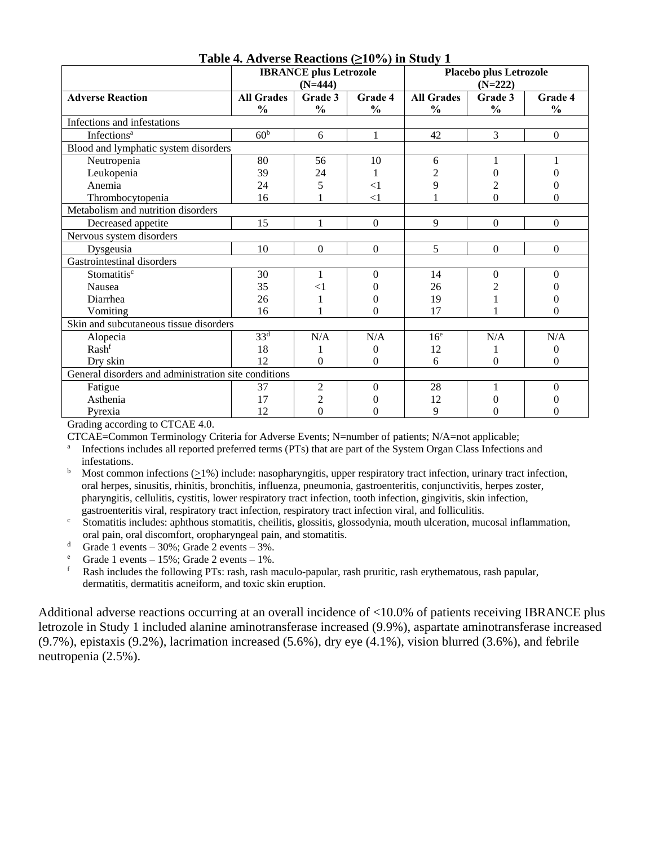|                                                      | <b>IBRANCE</b> plus Letrozole<br>$(N=444)$ |                |                | Placebo plus Letrozole<br>$(N=222)$ |                  |                  |
|------------------------------------------------------|--------------------------------------------|----------------|----------------|-------------------------------------|------------------|------------------|
| <b>Adverse Reaction</b>                              | <b>All Grades</b>                          | Grade 3        | Grade 4        | <b>All Grades</b>                   | Grade 3          | <b>Grade 4</b>   |
|                                                      | $\frac{0}{0}$                              | $\frac{0}{0}$  | $\frac{0}{0}$  | $\frac{0}{0}$                       | $\frac{0}{0}$    | $\frac{0}{0}$    |
| Infections and infestations                          |                                            |                |                |                                     |                  |                  |
| Infections <sup>a</sup>                              | 60 <sup>b</sup>                            | 6              | 1              | 42                                  | 3                | $\mathbf{0}$     |
| Blood and lymphatic system disorders                 |                                            |                |                |                                     |                  |                  |
| Neutropenia                                          | 80                                         | 56             | 10             | 6                                   |                  |                  |
| Leukopenia                                           | 39                                         | 24             |                | $\overline{2}$                      |                  | 0                |
| Anemia                                               | 24                                         | 5              | $<$ 1          | 9                                   | 2                | 0                |
| Thrombocytopenia                                     | 16                                         |                | $<$ 1          |                                     | $\theta$         | $\boldsymbol{0}$ |
| Metabolism and nutrition disorders                   |                                            |                |                |                                     |                  |                  |
| Decreased appetite                                   | 15                                         | 1              | $\Omega$       | 9                                   | $\boldsymbol{0}$ | $\boldsymbol{0}$ |
| Nervous system disorders                             |                                            |                |                |                                     |                  |                  |
| Dysgeusia                                            | 10                                         | $\mathbf{0}$   | $\Omega$       | 5                                   | $\Omega$         | $\boldsymbol{0}$ |
| Gastrointestinal disorders                           |                                            |                |                |                                     |                  |                  |
| Stomatitisc                                          | 30                                         | 1              | $\Omega$       | 14                                  | $\Omega$         | $\theta$         |
| <b>Nausea</b>                                        | 35                                         | $<$ 1          | $\theta$       | 26                                  | 2                | 0                |
| Diarrhea                                             | 26                                         |                | 0              | 19                                  |                  | 0                |
| Vomiting                                             | 16                                         |                | $\theta$       | 17                                  |                  | $\theta$         |
| Skin and subcutaneous tissue disorders               |                                            |                |                |                                     |                  |                  |
| Alopecia                                             | 33 <sup>d</sup>                            | N/A            | N/A            | 16 <sup>e</sup>                     | N/A              | N/A              |
| Rashf                                                | 18                                         |                | 0              | 12                                  | 1                | 0                |
| Dry skin                                             | 12                                         | $\theta$       | $\theta$       | 6                                   | $\theta$         | $\Omega$         |
| General disorders and administration site conditions |                                            |                |                |                                     |                  |                  |
| Fatigue                                              | 37                                         | $\overline{2}$ | $\Omega$       | 28                                  |                  | $\Omega$         |
| Asthenia                                             | 17                                         | 2              | $\overline{0}$ | 12                                  | 0                | 0                |
| Pyrexia                                              | 12                                         | $\overline{0}$ | $\overline{0}$ | 9                                   | 0                | 0                |

#### **Table 4. Adverse Reactions (≥10%) in Study 1**

Grading according to CTCAE 4.0.

CTCAE=Common Terminology Criteria for Adverse Events; N=number of patients; N/A=not applicable;

<sup>a</sup> Infections includes all reported preferred terms (PTs) that are part of the System Organ Class Infections and infestations.

 $b$  Most common infections (>1%) include: nasopharyngitis, upper respiratory tract infection, urinary tract infection, oral herpes, sinusitis, rhinitis, bronchitis, influenza, pneumonia, gastroenteritis, conjunctivitis, herpes zoster, pharyngitis, cellulitis, cystitis, lower respiratory tract infection, tooth infection, gingivitis, skin infection, gastroenteritis viral, respiratory tract infection, respiratory tract infection viral, and folliculitis.

<sup>c</sup> Stomatitis includes: aphthous stomatitis, cheilitis, glossitis, glossodynia, mouth ulceration, mucosal inflammation, oral pain, oral discomfort, oropharyngeal pain, and stomatitis.

d Grade 1 events –  $30\%$ ; Grade 2 events –  $3\%$ .

<sup>e</sup> Grade 1 events – 15%; Grade 2 events – 1%.<br>  $\frac{1}{2}$  Rash includes the following PTs: rash rash m

<sup>f</sup> Rash includes the following PTs: rash, rash maculo-papular, rash pruritic, rash erythematous, rash papular, dermatitis, dermatitis acneiform, and toxic skin eruption.

Additional adverse reactions occurring at an overall incidence of <10.0% of patients receiving IBRANCE plus letrozole in Study 1 included alanine aminotransferase increased (9.9%), aspartate aminotransferase increased (9.7%), epistaxis (9.2%), lacrimation increased (5.6%), dry eye (4.1%), vision blurred (3.6%), and febrile neutropenia (2.5%).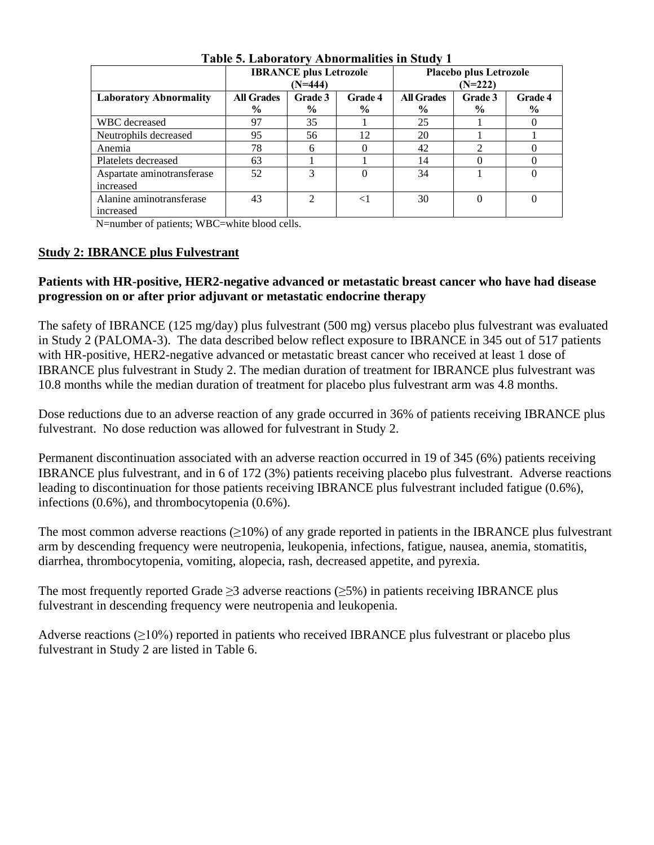|                                         | Table of Laboratory Troublinances in Study T |                |                |                                     |                |                |
|-----------------------------------------|----------------------------------------------|----------------|----------------|-------------------------------------|----------------|----------------|
|                                         | <b>IBRANCE</b> plus Letrozole<br>$(N=444)$   |                |                | Placebo plus Letrozole<br>$(N=222)$ |                |                |
| <b>Laboratory Abnormality</b>           | <b>All Grades</b>                            | <b>Grade 3</b> | <b>Grade 4</b> | <b>All Grades</b>                   | <b>Grade 3</b> | <b>Grade 4</b> |
|                                         | $\%$                                         | $\%$           | $\frac{6}{9}$  | $\%$                                | $\frac{6}{9}$  | $\%$           |
| WBC decreased                           | 97                                           | 35             |                | 25                                  |                |                |
| Neutrophils decreased                   | 95                                           | 56             | 12             | 20                                  |                |                |
| Anemia                                  | 78                                           | 6              |                | 42                                  |                | 0              |
| Platelets decreased                     | 63                                           |                |                | 14                                  |                |                |
| Aspartate aminotransferase<br>increased | 52                                           | 3              |                | 34                                  |                | $\theta$       |
| Alanine aminotransferase<br>increased   | 43                                           | っ              | $<$ 1          | 30                                  | $\Omega$       | 0              |

#### **Table 5. Laboratory Abnormalities in Study 1**

N=number of patients; WBC=white blood cells.

### **Study 2: IBRANCE plus Fulvestrant**

### **Patients with HR-positive, HER2-negative advanced or metastatic breast cancer who have had disease progression on or after prior adjuvant or metastatic endocrine therapy**

The safety of IBRANCE (125 mg/day) plus fulvestrant (500 mg) versus placebo plus fulvestrant was evaluated in Study 2 (PALOMA-3). The data described below reflect exposure to IBRANCE in 345 out of 517 patients with HR-positive, HER2-negative advanced or metastatic breast cancer who received at least 1 dose of IBRANCE plus fulvestrant in Study 2. The median duration of treatment for IBRANCE plus fulvestrant was 10.8 months while the median duration of treatment for placebo plus fulvestrant arm was 4.8 months.

Dose reductions due to an adverse reaction of any grade occurred in 36% of patients receiving IBRANCE plus fulvestrant. No dose reduction was allowed for fulvestrant in Study 2.

Permanent discontinuation associated with an adverse reaction occurred in 19 of 345 (6%) patients receiving IBRANCE plus fulvestrant, and in 6 of 172 (3%) patients receiving placebo plus fulvestrant. Adverse reactions leading to discontinuation for those patients receiving IBRANCE plus fulvestrant included fatigue (0.6%), infections (0.6%), and thrombocytopenia (0.6%).

The most common adverse reactions  $(\geq 10\%)$  of any grade reported in patients in the IBRANCE plus fulvestrant arm by descending frequency were neutropenia, leukopenia, infections, fatigue, nausea, anemia, stomatitis, diarrhea, thrombocytopenia, vomiting, alopecia, rash, decreased appetite, and pyrexia.

The most frequently reported Grade  $\geq$ 3 adverse reactions ( $\geq$ 5%) in patients receiving IBRANCE plus fulvestrant in descending frequency were neutropenia and leukopenia.

Adverse reactions  $(\geq 10\%)$  reported in patients who received IBRANCE plus fulvestrant or placebo plus fulvestrant in Study 2 are listed in Table 6.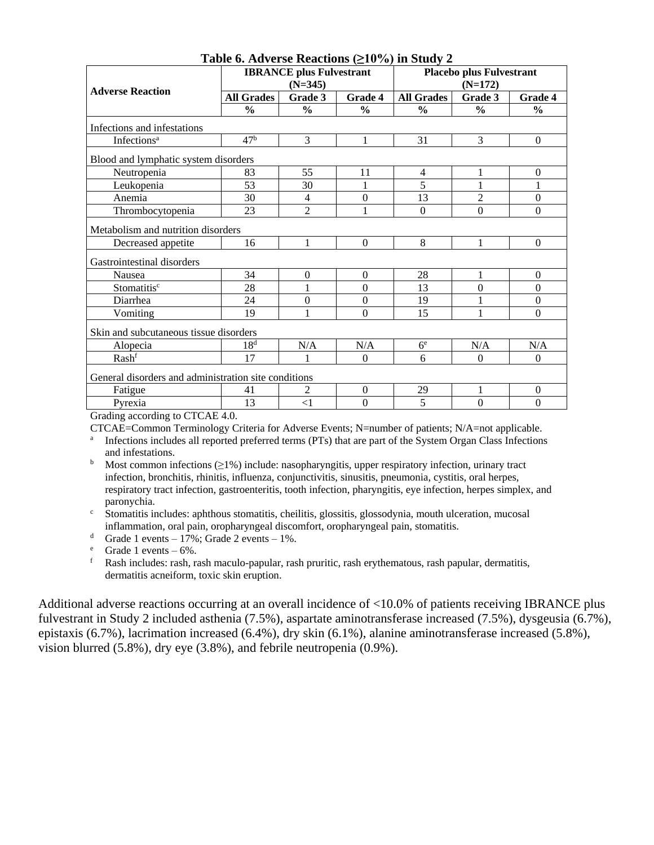| <b>Adverse Reaction</b>                              | <b>IBRANCE</b> plus Fulvestrant<br>$(N=345)$ |                  |                  | <b>Placebo plus Fulvestrant</b><br>$(N=172)$ |                |                  |
|------------------------------------------------------|----------------------------------------------|------------------|------------------|----------------------------------------------|----------------|------------------|
|                                                      | <b>All Grades</b>                            | Grade 3          | Grade 4          | <b>All Grades</b>                            | Grade 3        | Grade 4          |
|                                                      | $\frac{0}{0}$                                | $\frac{0}{0}$    | $\frac{0}{0}$    | $\frac{1}{2}$                                | $\frac{0}{0}$  | $\frac{0}{0}$    |
| Infections and infestations                          |                                              |                  |                  |                                              |                |                  |
| <b>Infections</b> <sup>a</sup>                       | 47 <sup>b</sup>                              | 3                | 1                | 31                                           | 3              | $\mathbf{0}$     |
| Blood and lymphatic system disorders                 |                                              |                  |                  |                                              |                |                  |
| Neutropenia                                          | 83                                           | 55               | 11               | 4                                            |                | $\overline{0}$   |
| Leukopenia                                           | 53                                           | 30               | 1                | 5                                            | 1              | 1                |
| Anemia                                               | 30                                           | 4                | $\mathbf{0}$     | 13                                           | $\overline{2}$ | $\mathbf{0}$     |
| Thrombocytopenia                                     | 23                                           | $\overline{2}$   | 1                | $\boldsymbol{0}$                             | $\mathbf{0}$   | $\mathbf{0}$     |
| Metabolism and nutrition disorders                   |                                              |                  |                  |                                              |                |                  |
| Decreased appetite                                   | 16                                           | 1                | $\Omega$         | 8                                            | 1              | $\Omega$         |
| Gastrointestinal disorders                           |                                              |                  |                  |                                              |                |                  |
| Nausea                                               | 34                                           | $\boldsymbol{0}$ | $\Omega$         | 28                                           |                | $\overline{0}$   |
| Stomatitisc                                          | 28                                           | 1                | $\boldsymbol{0}$ | 13                                           | $\mathbf{0}$   | $\boldsymbol{0}$ |
| Diarrhea                                             | 24                                           | $\mathbf{0}$     | $\overline{0}$   | 19                                           |                | $\overline{0}$   |
| Vomiting                                             | 19                                           | $\mathbf{1}$     | $\theta$         | 15                                           | $\mathbf{1}$   | $\theta$         |
| Skin and subcutaneous tissue disorders               |                                              |                  |                  |                                              |                |                  |
| Alopecia                                             | 18 <sup>d</sup>                              | N/A              | N/A              | 6 <sup>e</sup>                               | N/A            | N/A              |
| Rashf                                                | 17                                           |                  | $\theta$         | 6                                            | $\theta$       | $\theta$         |
| General disorders and administration site conditions |                                              |                  |                  |                                              |                |                  |
| Fatigue                                              | 41                                           | 2                | $\boldsymbol{0}$ | 29                                           | $\mathbf{1}$   | $\boldsymbol{0}$ |
| Pyrexia                                              | 13                                           | $<$ 1            | $\boldsymbol{0}$ | 5                                            | $\mathbf{0}$   | $\boldsymbol{0}$ |

#### **Table 6. Adverse Reactions (≥10%) in Study 2**

Grading according to CTCAE 4.0.

CTCAE=Common Terminology Criteria for Adverse Events; N=number of patients; N/A=not applicable.

a Infections includes all reported preferred terms (PTs) that are part of the System Organ Class Infections and infestations.

<sup>b</sup> Most common infections ( $\geq$ 1%) include: nasopharyngitis, upper respiratory infection, urinary tract infection, bronchitis, rhinitis, influenza, conjunctivitis, sinusitis, pneumonia, cystitis, oral herpes, respiratory tract infection, gastroenteritis, tooth infection, pharyngitis, eye infection, herpes simplex, and paronychia.

<sup>c</sup> Stomatitis includes: aphthous stomatitis, cheilitis, glossitis, glossodynia, mouth ulceration, mucosal inflammation, oral pain, oropharyngeal discomfort, oropharyngeal pain, stomatitis.

<sup>d</sup> Grade 1 events – 17%; Grade 2 events – 1%.

<sup>e</sup> Grade 1 events – 6%.<br><sup>f</sup> Rash includes: rash rs

<sup>f</sup> Rash includes: rash, rash maculo-papular, rash pruritic, rash erythematous, rash papular, dermatitis, dermatitis acneiform, toxic skin eruption.

Additional adverse reactions occurring at an overall incidence of <10.0% of patients receiving IBRANCE plus fulvestrant in Study 2 included asthenia (7.5%), aspartate aminotransferase increased (7.5%), dysgeusia (6.7%), epistaxis (6.7%), lacrimation increased (6.4%), dry skin (6.1%), alanine aminotransferase increased (5.8%), vision blurred (5.8%), dry eye (3.8%), and febrile neutropenia (0.9%).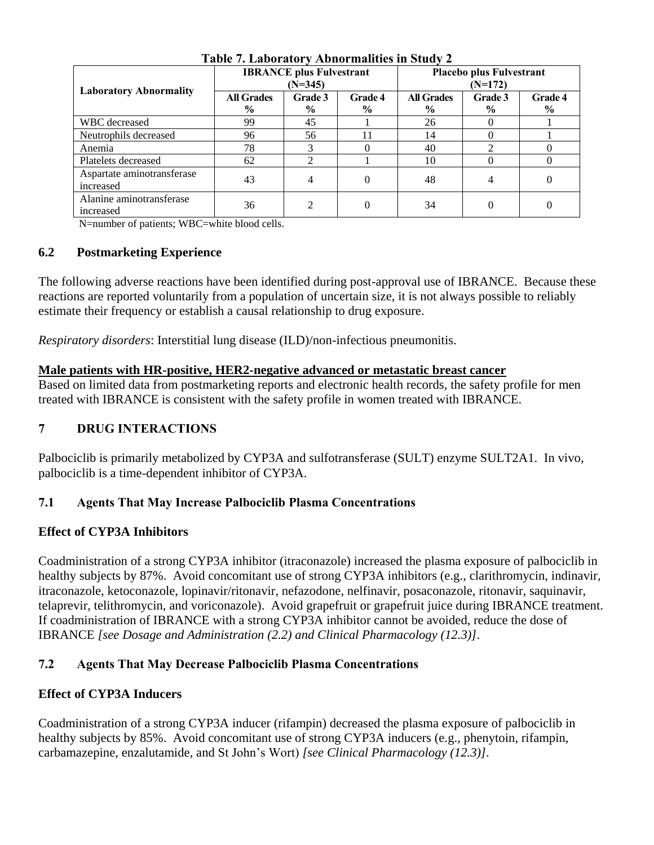| $\frac{1}{2}$ and $\frac{1}{2}$ . Easy take $\frac{1}{2}$ is the mainter in order $\frac{1}{2}$ |                                              |                 |                                 |                                       |                        |                        |
|-------------------------------------------------------------------------------------------------|----------------------------------------------|-----------------|---------------------------------|---------------------------------------|------------------------|------------------------|
|                                                                                                 | <b>IBRANCE</b> plus Fulvestrant<br>$(N=345)$ |                 |                                 | Placebo plus Fulvestrant<br>$(N=172)$ |                        |                        |
| <b>Laboratory Abnormality</b>                                                                   | <b>All Grades</b><br>$\%$                    | Grade 3<br>$\%$ | <b>Grade 4</b><br>$\frac{6}{9}$ | <b>All Grades</b><br>$\%$             | <b>Grade 3</b><br>$\%$ | <b>Grade 4</b><br>$\%$ |
| WBC decreased                                                                                   | 99                                           | 45              |                                 | 26                                    |                        |                        |
| Neutrophils decreased                                                                           | 96                                           | 56              |                                 | 14                                    |                        |                        |
| Anemia                                                                                          | 78                                           |                 |                                 | 40                                    |                        |                        |
| Platelets decreased                                                                             | 62                                           | 2               |                                 | 10                                    |                        |                        |
| Aspartate aminotransferase<br>increased                                                         | 43                                           | 4               |                                 | 48                                    |                        |                        |
| Alanine aminotransferase<br>increased                                                           | 36                                           | $\mathfrak{D}$  |                                 | 34                                    | 0                      |                        |

### **Table 7. Laboratory Abnormalities in Study 2**

N=number of patients; WBC=white blood cells.

# **6.2 Postmarketing Experience**

The following adverse reactions have been identified during post-approval use of IBRANCE. Because these reactions are reported voluntarily from a population of uncertain size, it is not always possible to reliably estimate their frequency or establish a causal relationship to drug exposure.

*Respiratory disorders*: Interstitial lung disease (ILD)/non-infectious pneumonitis.

# **Male patients with HR-positive, HER2-negative advanced or metastatic breast cancer**

Based on limited data from postmarketing reports and electronic health records, the safety profile for men treated with IBRANCE is consistent with the safety profile in women treated with IBRANCE.

# **7 DRUG INTERACTIONS**

Palbociclib is primarily metabolized by CYP3A and sulfotransferase (SULT) enzyme SULT2A1. In vivo, palbociclib is a time-dependent inhibitor of CYP3A.

# **7.1 Agents That May Increase Palbociclib Plasma Concentrations**

# **Effect of CYP3A Inhibitors**

Coadministration of a strong CYP3A inhibitor (itraconazole) increased the plasma exposure of palbociclib in healthy subjects by 87%. Avoid concomitant use of strong CYP3A inhibitors (e.g., clarithromycin, indinavir, itraconazole, ketoconazole, lopinavir/ritonavir, nefazodone, nelfinavir, posaconazole, ritonavir, saquinavir, telaprevir, telithromycin, and voriconazole). Avoid grapefruit or grapefruit juice during IBRANCE treatment. If coadministration of IBRANCE with a strong CYP3A inhibitor cannot be avoided, reduce the dose of IBRANCE *[see Dosage and Administration (2.2) and Clinical Pharmacology (12.3)]*.

# **7.2 Agents That May Decrease Palbociclib Plasma Concentrations**

# **Effect of CYP3A Inducers**

Coadministration of a strong CYP3A inducer (rifampin) decreased the plasma exposure of palbociclib in healthy subjects by 85%. Avoid concomitant use of strong CYP3A inducers (e.g., phenytoin, rifampin, carbamazepine, enzalutamide, and St John's Wort) *[see Clinical Pharmacology (12.3)]*.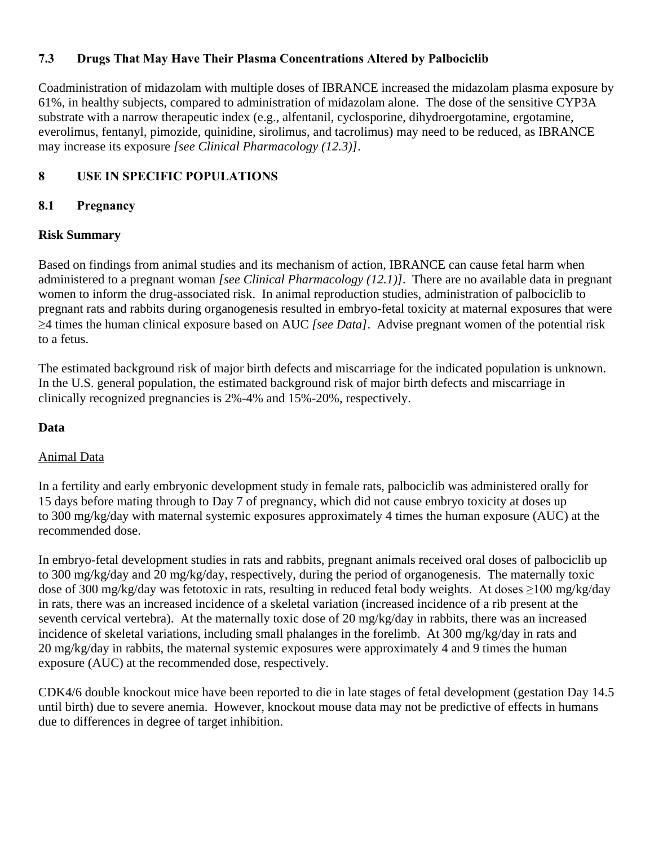# **7.3 Drugs That May Have Their Plasma Concentrations Altered by Palbociclib**

Coadministration of midazolam with multiple doses of IBRANCE increased the midazolam plasma exposure by 61%, in healthy subjects, compared to administration of midazolam alone. The dose of the sensitive CYP3A substrate with a narrow therapeutic index (e.g., alfentanil, cyclosporine, dihydroergotamine, ergotamine, everolimus, fentanyl, pimozide, quinidine, sirolimus, and tacrolimus) may need to be reduced, as IBRANCE may increase its exposure *[see Clinical Pharmacology (12.3)]*.

# **8 USE IN SPECIFIC POPULATIONS**

# **8.1 Pregnancy**

# **Risk Summary**

Based on findings from animal studies and its mechanism of action, IBRANCE can cause fetal harm when administered to a pregnant woman *[see Clinical Pharmacology (12.1)]*. There are no available data in pregnant women to inform the drug-associated risk. In animal reproduction studies, administration of palbociclib to pregnant rats and rabbits during organogenesis resulted in embryo-fetal toxicity at maternal exposures that were 4 times the human clinical exposure based on AUC *[see Data]*. Advise pregnant women of the potential risk to a fetus.

The estimated background risk of major birth defects and miscarriage for the indicated population is unknown. In the U.S. general population, the estimated background risk of major birth defects and miscarriage in clinically recognized pregnancies is 2%-4% and 15%-20%, respectively.

### **Data**

# Animal Data

In a fertility and early embryonic development study in female rats, palbociclib was administered orally for 15 days before mating through to Day 7 of pregnancy, which did not cause embryo toxicity at doses up to 300 mg/kg/day with maternal systemic exposures approximately 4 times the human exposure (AUC) at the recommended dose.

In embryo-fetal development studies in rats and rabbits, pregnant animals received oral doses of palbociclib up to 300 mg/kg/day and 20 mg/kg/day, respectively, during the period of organogenesis. The maternally toxic dose of 300 mg/kg/day was fetotoxic in rats, resulting in reduced fetal body weights. At doses ≥100 mg/kg/day in rats, there was an increased incidence of a skeletal variation (increased incidence of a rib present at the seventh cervical vertebra). At the maternally toxic dose of 20 mg/kg/day in rabbits, there was an increased incidence of skeletal variations, including small phalanges in the forelimb. At 300 mg/kg/day in rats and 20 mg/kg/day in rabbits, the maternal systemic exposures were approximately 4 and 9 times the human exposure (AUC) at the recommended dose, respectively.

CDK4/6 double knockout mice have been reported to die in late stages of fetal development (gestation Day 14.5 until birth) due to severe anemia. However, knockout mouse data may not be predictive of effects in humans due to differences in degree of target inhibition.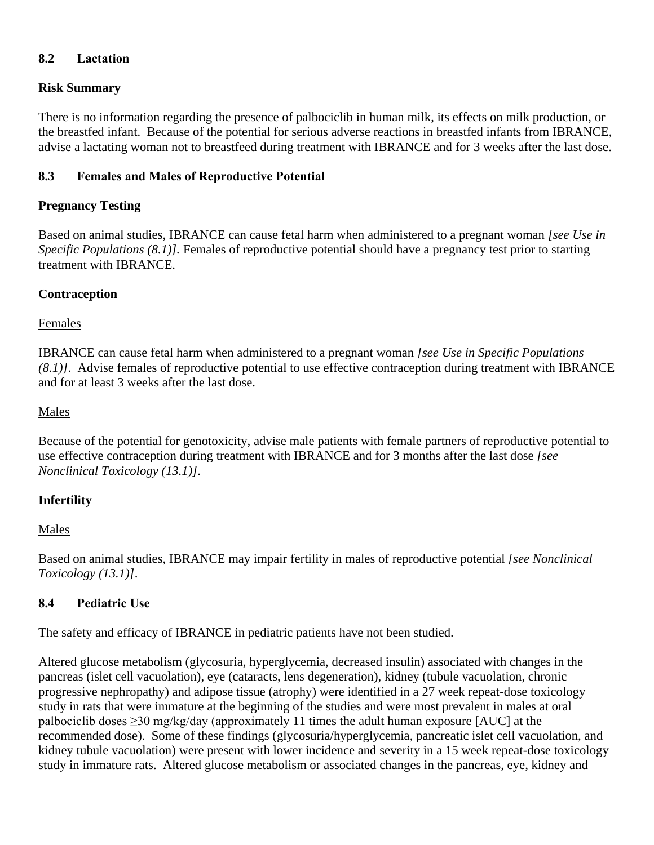# **8.2 Lactation**

# **Risk Summary**

There is no information regarding the presence of palbociclib in human milk, its effects on milk production, or the breastfed infant. Because of the potential for serious adverse reactions in breastfed infants from IBRANCE, advise a lactating woman not to breastfeed during treatment with IBRANCE and for 3 weeks after the last dose.

# **8.3 Females and Males of Reproductive Potential**

# **Pregnancy Testing**

Based on animal studies, IBRANCE can cause fetal harm when administered to a pregnant woman *[see Use in Specific Populations (8.1)].* Females of reproductive potential should have a pregnancy test prior to starting treatment with IBRANCE.

# **Contraception**

Females

IBRANCE can cause fetal harm when administered to a pregnant woman *[see Use in Specific Populations (8.1)]*. Advise females of reproductive potential to use effective contraception during treatment with IBRANCE and for at least 3 weeks after the last dose.

# Males

Because of the potential for genotoxicity, advise male patients with female partners of reproductive potential to use effective contraception during treatment with IBRANCE and for 3 months after the last dose *[see Nonclinical Toxicology (13.1)]*.

# **Infertility**

# Males

Based on animal studies, IBRANCE may impair fertility in males of reproductive potential *[see Nonclinical Toxicology (13.1)]*.

# **8.4 Pediatric Use**

The safety and efficacy of IBRANCE in pediatric patients have not been studied.

Altered glucose metabolism (glycosuria, hyperglycemia, decreased insulin) associated with changes in the pancreas (islet cell vacuolation), eye (cataracts, lens degeneration), kidney (tubule vacuolation, chronic progressive nephropathy) and adipose tissue (atrophy) were identified in a 27 week repeat-dose toxicology study in rats that were immature at the beginning of the studies and were most prevalent in males at oral palbociclib doses  $\geq$ 30 mg/kg/day (approximately 11 times the adult human exposure [AUC] at the recommended dose). Some of these findings (glycosuria/hyperglycemia, pancreatic islet cell vacuolation, and kidney tubule vacuolation) were present with lower incidence and severity in a 15 week repeat-dose toxicology study in immature rats. Altered glucose metabolism or associated changes in the pancreas, eye, kidney and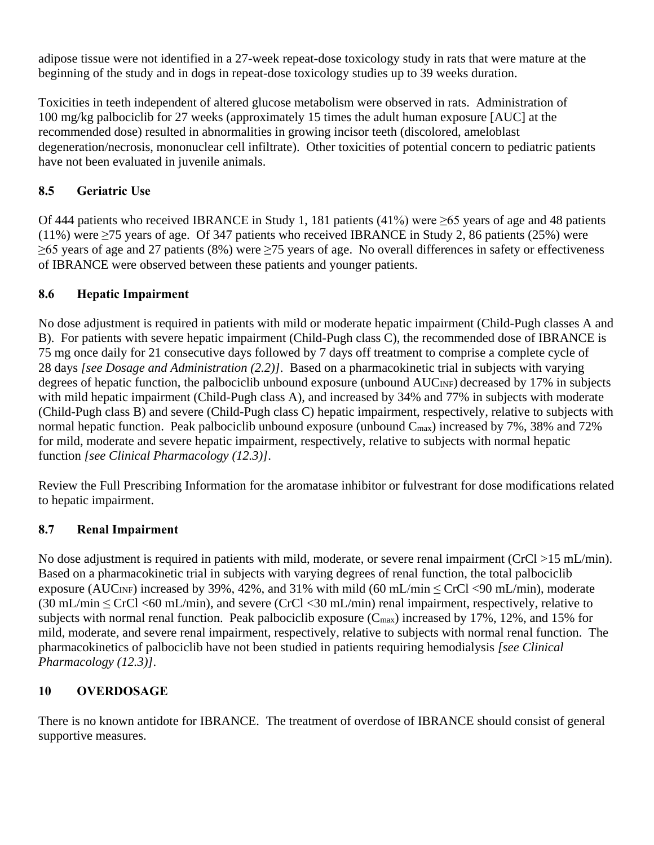adipose tissue were not identified in a 27-week repeat-dose toxicology study in rats that were mature at the beginning of the study and in dogs in repeat-dose toxicology studies up to 39 weeks duration.

Toxicities in teeth independent of altered glucose metabolism were observed in rats. Administration of 100 mg/kg palbociclib for 27 weeks (approximately 15 times the adult human exposure [AUC] at the recommended dose) resulted in abnormalities in growing incisor teeth (discolored, ameloblast degeneration/necrosis, mononuclear cell infiltrate). Other toxicities of potential concern to pediatric patients have not been evaluated in juvenile animals.

# **8.5 Geriatric Use**

Of 444 patients who received IBRANCE in Study 1, 181 patients (41%) were ≥65 years of age and 48 patients (11%) were  $\geq$ 75 years of age. Of 347 patients who received IBRANCE in Study 2, 86 patients (25%) were ≥65 years of age and 27 patients (8%) were ≥75 years of age. No overall differences in safety or effectiveness of IBRANCE were observed between these patients and younger patients.

# **8.6 Hepatic Impairment**

No dose adjustment is required in patients with mild or moderate hepatic impairment (Child-Pugh classes A and B). For patients with severe hepatic impairment (Child-Pugh class C), the recommended dose of IBRANCE is 75 mg once daily for 21 consecutive days followed by 7 days off treatment to comprise a complete cycle of 28 days *[see Dosage and Administration (2.2)]*. Based on a pharmacokinetic trial in subjects with varying degrees of hepatic function, the palbociclib unbound exposure (unbound AUC<sub>INF</sub>) decreased by 17% in subjects with mild hepatic impairment (Child-Pugh class A), and increased by 34% and 77% in subjects with moderate (Child-Pugh class B) and severe (Child-Pugh class C) hepatic impairment, respectively, relative to subjects with normal hepatic function. Peak palbociclib unbound exposure (unbound C<sub>max</sub>) increased by 7%, 38% and 72% for mild, moderate and severe hepatic impairment, respectively, relative to subjects with normal hepatic function *[see Clinical Pharmacology (12.3)]*.

Review the Full Prescribing Information for the aromatase inhibitor or fulvestrant for dose modifications related to hepatic impairment.

# **8.7 Renal Impairment**

No dose adjustment is required in patients with mild, moderate, or severe renal impairment (CrCl >15 mL/min). Based on a pharmacokinetic trial in subjects with varying degrees of renal function, the total palbociclib exposure (AUC<sub>INF</sub>) increased by 39%, 42%, and 31% with mild (60 mL/min  $\leq$  CrCl <90 mL/min), moderate  $(30 \text{ mL/min} \leq CrCl < 60 \text{ mL/min})$ , and severe  $(CrCl < 30 \text{ mL/min})$  renal impairment, respectively, relative to subjects with normal renal function. Peak palbociclib exposure  $(C_{\text{max}})$  increased by 17%, 12%, and 15% for mild, moderate, and severe renal impairment, respectively, relative to subjects with normal renal function. The pharmacokinetics of palbociclib have not been studied in patients requiring hemodialysis *[see Clinical Pharmacology (12.3)]*.

# **10 OVERDOSAGE**

There is no known antidote for IBRANCE. The treatment of overdose of IBRANCE should consist of general supportive measures.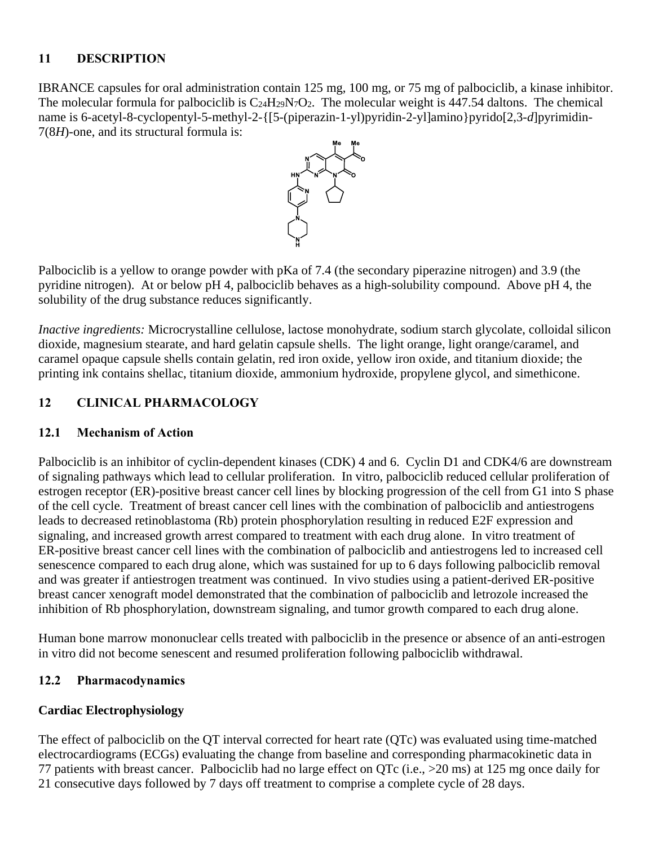# **11 DESCRIPTION**

IBRANCE capsules for oral administration contain 125 mg, 100 mg, or 75 mg of palbociclib, a kinase inhibitor. The molecular formula for palbociclib is  $C_{24}H_{29}N_7O_2$ . The molecular weight is  $447.54$  daltons. The chemical name is 6-acetyl-8-cyclopentyl-5-methyl-2-{[5-(piperazin-1-yl)pyridin-2-yl]amino}pyrido[2,3-*d*]pyrimidin-7(8*H*)-one, and its structural formula is:



Palbociclib is a yellow to orange powder with pKa of 7.4 (the secondary piperazine nitrogen) and 3.9 (the pyridine nitrogen). At or below pH 4, palbociclib behaves as a high-solubility compound. Above pH 4, the solubility of the drug substance reduces significantly.

*Inactive ingredients:* Microcrystalline cellulose, lactose monohydrate, sodium starch glycolate, colloidal silicon dioxide, magnesium stearate, and hard gelatin capsule shells. The light orange, light orange/caramel, and caramel opaque capsule shells contain gelatin, red iron oxide, yellow iron oxide, and titanium dioxide; the printing ink contains shellac, titanium dioxide, ammonium hydroxide, propylene glycol, and simethicone.

# **12 CLINICAL PHARMACOLOGY**

# **12.1 Mechanism of Action**

Palbociclib is an inhibitor of cyclin-dependent kinases (CDK) 4 and 6. Cyclin D1 and CDK4/6 are downstream of signaling pathways which lead to cellular proliferation. In vitro, palbociclib reduced cellular proliferation of estrogen receptor (ER)-positive breast cancer cell lines by blocking progression of the cell from G1 into S phase of the cell cycle. Treatment of breast cancer cell lines with the combination of palbociclib and antiestrogens leads to decreased retinoblastoma (Rb) protein phosphorylation resulting in reduced E2F expression and signaling, and increased growth arrest compared to treatment with each drug alone. In vitro treatment of ER-positive breast cancer cell lines with the combination of palbociclib and antiestrogens led to increased cell senescence compared to each drug alone, which was sustained for up to 6 days following palbociclib removal and was greater if antiestrogen treatment was continued. In vivo studies using a patient-derived ER-positive breast cancer xenograft model demonstrated that the combination of palbociclib and letrozole increased the inhibition of Rb phosphorylation, downstream signaling, and tumor growth compared to each drug alone.

Human bone marrow mononuclear cells treated with palbociclib in the presence or absence of an anti-estrogen in vitro did not become senescent and resumed proliferation following palbociclib withdrawal.

# **12.2 Pharmacodynamics**

# **Cardiac Electrophysiology**

The effect of palbociclib on the QT interval corrected for heart rate (QTc) was evaluated using time-matched electrocardiograms (ECGs) evaluating the change from baseline and corresponding pharmacokinetic data in 77 patients with breast cancer. Palbociclib had no large effect on QTc (i.e., >20 ms) at 125 mg once daily for 21 consecutive days followed by 7 days off treatment to comprise a complete cycle of 28 days.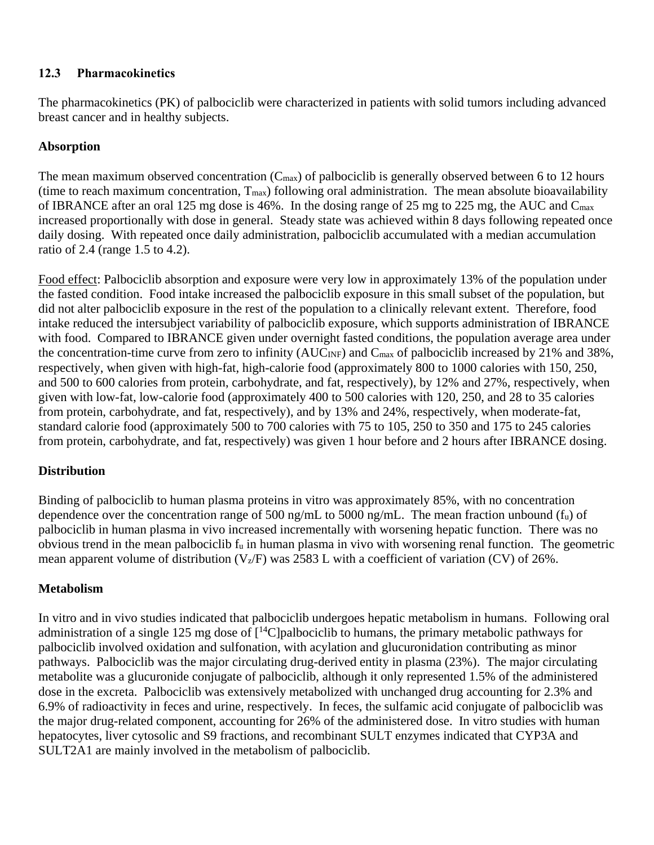# **12.3 Pharmacokinetics**

The pharmacokinetics (PK) of palbociclib were characterized in patients with solid tumors including advanced breast cancer and in healthy subjects.

# **Absorption**

The mean maximum observed concentration  $(C_{\text{max}})$  of palbociclib is generally observed between 6 to 12 hours (time to reach maximum concentration,  $T_{\text{max}}$ ) following oral administration. The mean absolute bioavailability of IBRANCE after an oral 125 mg dose is 46%. In the dosing range of 25 mg to 225 mg, the AUC and Cmax increased proportionally with dose in general. Steady state was achieved within 8 days following repeated once daily dosing. With repeated once daily administration, palbociclib accumulated with a median accumulation ratio of 2.4 (range 1.5 to 4.2).

Food effect: Palbociclib absorption and exposure were very low in approximately 13% of the population under the fasted condition. Food intake increased the palbociclib exposure in this small subset of the population, but did not alter palbociclib exposure in the rest of the population to a clinically relevant extent. Therefore, food intake reduced the intersubject variability of palbociclib exposure, which supports administration of IBRANCE with food. Compared to IBRANCE given under overnight fasted conditions, the population average area under the concentration-time curve from zero to infinity (AUC<sub>INF</sub>) and C<sub>max</sub> of palbociclib increased by 21% and 38%, respectively, when given with high-fat, high-calorie food (approximately 800 to 1000 calories with 150, 250, and 500 to 600 calories from protein, carbohydrate, and fat, respectively), by 12% and 27%, respectively, when given with low-fat, low-calorie food (approximately 400 to 500 calories with 120, 250, and 28 to 35 calories from protein, carbohydrate, and fat, respectively), and by 13% and 24%, respectively, when moderate-fat, standard calorie food (approximately 500 to 700 calories with 75 to 105, 250 to 350 and 175 to 245 calories from protein, carbohydrate, and fat, respectively) was given 1 hour before and 2 hours after IBRANCE dosing.

# **Distribution**

Binding of palbociclib to human plasma proteins in vitro was approximately 85%, with no concentration dependence over the concentration range of 500 ng/mL to 5000 ng/mL. The mean fraction unbound  $(f_u)$  of palbociclib in human plasma in vivo increased incrementally with worsening hepatic function. There was no obvious trend in the mean palbociclib  $f_u$  in human plasma in vivo with worsening renal function. The geometric mean apparent volume of distribution  $(V_z/F)$  was 2583 L with a coefficient of variation (CV) of 26%.

# **Metabolism**

In vitro and in vivo studies indicated that palbociclib undergoes hepatic metabolism in humans. Following oral administration of a single 125 mg dose of  $\lceil^{14}C\rceil$ palbociclib to humans, the primary metabolic pathways for palbociclib involved oxidation and sulfonation, with acylation and glucuronidation contributing as minor pathways. Palbociclib was the major circulating drug-derived entity in plasma (23%). The major circulating metabolite was a glucuronide conjugate of palbociclib, although it only represented 1.5% of the administered dose in the excreta. Palbociclib was extensively metabolized with unchanged drug accounting for 2.3% and 6.9% of radioactivity in feces and urine, respectively. In feces, the sulfamic acid conjugate of palbociclib was the major drug-related component, accounting for 26% of the administered dose. In vitro studies with human hepatocytes, liver cytosolic and S9 fractions, and recombinant SULT enzymes indicated that CYP3A and SULT2A1 are mainly involved in the metabolism of palbociclib.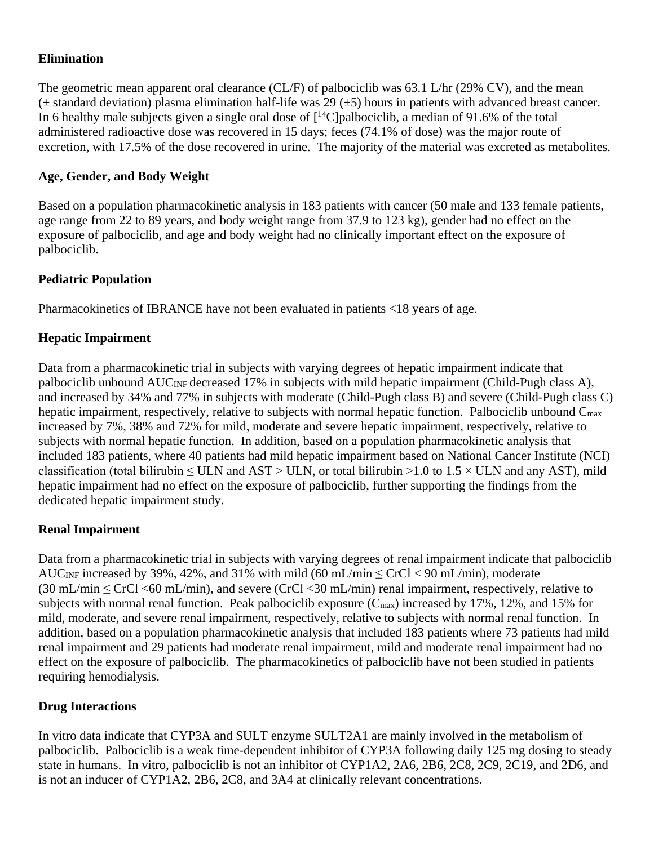### **Elimination**

The geometric mean apparent oral clearance (CL/F) of palbociclib was 63.1 L/hr (29% CV), and the mean  $(\pm$  standard deviation) plasma elimination half-life was 29 ( $\pm$ 5) hours in patients with advanced breast cancer. In 6 healthy male subjects given a single oral dose of  $[^{14}C]$  palbociclib, a median of 91.6% of the total administered radioactive dose was recovered in 15 days; feces (74.1% of dose) was the major route of excretion, with 17.5% of the dose recovered in urine. The majority of the material was excreted as metabolites.

### **Age, Gender, and Body Weight**

Based on a population pharmacokinetic analysis in 183 patients with cancer (50 male and 133 female patients, age range from 22 to 89 years, and body weight range from 37.9 to 123 kg), gender had no effect on the exposure of palbociclib, and age and body weight had no clinically important effect on the exposure of palbociclib.

### **Pediatric Population**

Pharmacokinetics of IBRANCE have not been evaluated in patients <18 years of age.

# **Hepatic Impairment**

Data from a pharmacokinetic trial in subjects with varying degrees of hepatic impairment indicate that palbociclib unbound AUCINF decreased 17% in subjects with mild hepatic impairment (Child-Pugh class A), and increased by 34% and 77% in subjects with moderate (Child-Pugh class B) and severe (Child-Pugh class C) hepatic impairment, respectively, relative to subjects with normal hepatic function. Palbociclib unbound C<sub>max</sub> increased by 7%, 38% and 72% for mild, moderate and severe hepatic impairment, respectively, relative to subjects with normal hepatic function. In addition, based on a population pharmacokinetic analysis that included 183 patients, where 40 patients had mild hepatic impairment based on National Cancer Institute (NCI) classification (total bilirubin  $\leq$  ULN and AST  $>$  ULN, or total bilirubin  $>$ 1.0 to 1.5  $\times$  ULN and any AST), mild hepatic impairment had no effect on the exposure of palbociclib, further supporting the findings from the dedicated hepatic impairment study.

### **Renal Impairment**

Data from a pharmacokinetic trial in subjects with varying degrees of renal impairment indicate that palbociclib AUC<sub>INF</sub> increased by 39%, 42%, and 31% with mild (60 mL/min  $\leq$  CrCl  $<$  90 mL/min), moderate (30 mL/min ≤ CrCl <60 mL/min), and severe (CrCl <30 mL/min) renal impairment, respectively, relative to subjects with normal renal function. Peak palbociclib exposure  $(C_{\text{max}})$  increased by 17%, 12%, and 15% for mild, moderate, and severe renal impairment, respectively, relative to subjects with normal renal function. In addition, based on a population pharmacokinetic analysis that included 183 patients where 73 patients had mild renal impairment and 29 patients had moderate renal impairment, mild and moderate renal impairment had no effect on the exposure of palbociclib. The pharmacokinetics of palbociclib have not been studied in patients requiring hemodialysis.

# **Drug Interactions**

In vitro data indicate that CYP3A and SULT enzyme SULT2A1 are mainly involved in the metabolism of palbociclib. Palbociclib is a weak time-dependent inhibitor of CYP3A following daily 125 mg dosing to steady state in humans. In vitro, palbociclib is not an inhibitor of CYP1A2, 2A6, 2B6, 2C8, 2C9, 2C19, and 2D6, and is not an inducer of CYP1A2, 2B6, 2C8, and 3A4 at clinically relevant concentrations.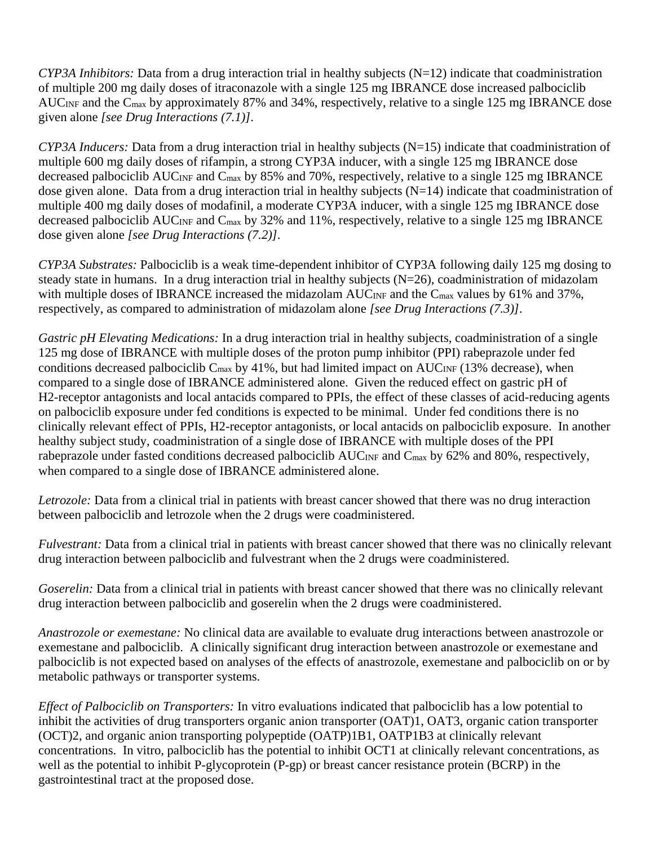*CYP3A Inhibitors:* Data from a drug interaction trial in healthy subjects (N=12) indicate that coadministration of multiple 200 mg daily doses of itraconazole with a single 125 mg IBRANCE dose increased palbociclib AUC<sub>INF</sub> and the C<sub>max</sub> by approximately 87% and 34%, respectively, relative to a single 125 mg IBRANCE dose given alone *[see Drug Interactions (7.1)]*.

*CYP3A Inducers:* Data from a drug interaction trial in healthy subjects (N=15) indicate that coadministration of multiple 600 mg daily doses of rifampin, a strong CYP3A inducer, with a single 125 mg IBRANCE dose decreased palbociclib AUC<sub>INF</sub> and C<sub>max</sub> by 85% and 70%, respectively, relative to a single 125 mg IBRANCE dose given alone. Data from a drug interaction trial in healthy subjects  $(N=14)$  indicate that coadministration of multiple 400 mg daily doses of modafinil, a moderate CYP3A inducer, with a single 125 mg IBRANCE dose decreased palbociclib AUC<sub>INF</sub> and C<sub>max</sub> by 32% and 11%, respectively, relative to a single 125 mg IBRANCE dose given alone *[see Drug Interactions (7.2)]*.

*CYP3A Substrates:* Palbociclib is a weak time-dependent inhibitor of CYP3A following daily 125 mg dosing to steady state in humans. In a drug interaction trial in healthy subjects (N=26), coadministration of midazolam with multiple doses of IBRANCE increased the midazolam  $AUC_{INF}$  and the  $C_{max}$  values by 61% and 37%, respectively, as compared to administration of midazolam alone *[see Drug Interactions (7.3)]*.

*Gastric pH Elevating Medications:* In a drug interaction trial in healthy subjects, coadministration of a single 125 mg dose of IBRANCE with multiple doses of the proton pump inhibitor (PPI) rabeprazole under fed conditions decreased palbociclib  $C_{\text{max}}$  by 41%, but had limited impact on AUC<sub>INF</sub> (13% decrease), when compared to a single dose of IBRANCE administered alone. Given the reduced effect on gastric pH of H2-receptor antagonists and local antacids compared to PPIs, the effect of these classes of acid-reducing agents on palbociclib exposure under fed conditions is expected to be minimal. Under fed conditions there is no clinically relevant effect of PPIs, H2-receptor antagonists, or local antacids on palbociclib exposure. In another healthy subject study, coadministration of a single dose of IBRANCE with multiple doses of the PPI rabeprazole under fasted conditions decreased palbociclib AUC<sub>INF</sub> and C<sub>max</sub> by 62% and 80%, respectively, when compared to a single dose of IBRANCE administered alone.

*Letrozole:* Data from a clinical trial in patients with breast cancer showed that there was no drug interaction between palbociclib and letrozole when the 2 drugs were coadministered.

*Fulvestrant:* Data from a clinical trial in patients with breast cancer showed that there was no clinically relevant drug interaction between palbociclib and fulvestrant when the 2 drugs were coadministered.

*Goserelin:* Data from a clinical trial in patients with breast cancer showed that there was no clinically relevant drug interaction between palbociclib and goserelin when the 2 drugs were coadministered.

*Anastrozole or exemestane:* No clinical data are available to evaluate drug interactions between anastrozole or exemestane and palbociclib. A clinically significant drug interaction between anastrozole or exemestane and palbociclib is not expected based on analyses of the effects of anastrozole, exemestane and palbociclib on or by metabolic pathways or transporter systems.

*Effect of Palbociclib on Transporters:* In vitro evaluations indicated that palbociclib has a low potential to inhibit the activities of drug transporters organic anion transporter (OAT)1, OAT3, organic cation transporter (OCT)2, and organic anion transporting polypeptide (OATP)1B1, OATP1B3 at clinically relevant concentrations. In vitro, palbociclib has the potential to inhibit OCT1 at clinically relevant concentrations, as well as the potential to inhibit P-glycoprotein (P-gp) or breast cancer resistance protein (BCRP) in the gastrointestinal tract at the proposed dose.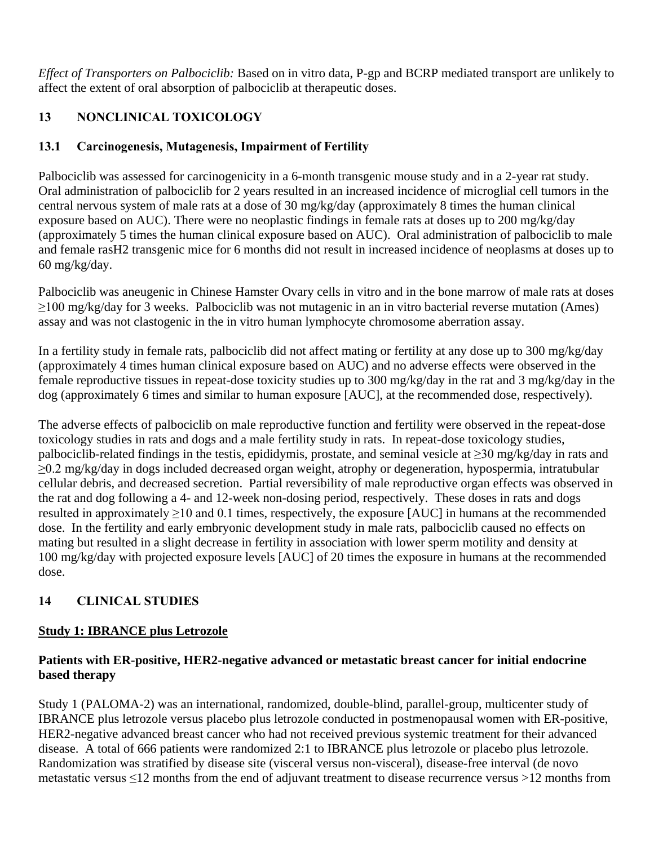*Effect of Transporters on Palbociclib:* Based on in vitro data, P-gp and BCRP mediated transport are unlikely to affect the extent of oral absorption of palbociclib at therapeutic doses.

# **13 NONCLINICAL TOXICOLOGY**

# **13.1 Carcinogenesis, Mutagenesis, Impairment of Fertility**

Palbociclib was assessed for carcinogenicity in a 6-month transgenic mouse study and in a 2-year rat study. Oral administration of palbociclib for 2 years resulted in an increased incidence of microglial cell tumors in the central nervous system of male rats at a dose of 30 mg/kg/day (approximately 8 times the human clinical exposure based on AUC). There were no neoplastic findings in female rats at doses up to 200 mg/kg/day (approximately 5 times the human clinical exposure based on AUC). Oral administration of palbociclib to male and female rasH2 transgenic mice for 6 months did not result in increased incidence of neoplasms at doses up to 60 mg/kg/day.

Palbociclib was aneugenic in Chinese Hamster Ovary cells in vitro and in the bone marrow of male rats at doses ≥100 mg/kg/day for 3 weeks. Palbociclib was not mutagenic in an in vitro bacterial reverse mutation (Ames) assay and was not clastogenic in the in vitro human lymphocyte chromosome aberration assay.

In a fertility study in female rats, palbociclib did not affect mating or fertility at any dose up to 300 mg/kg/day (approximately 4 times human clinical exposure based on AUC) and no adverse effects were observed in the female reproductive tissues in repeat-dose toxicity studies up to 300 mg/kg/day in the rat and 3 mg/kg/day in the dog (approximately 6 times and similar to human exposure [AUC], at the recommended dose, respectively).

The adverse effects of palbociclib on male reproductive function and fertility were observed in the repeat-dose toxicology studies in rats and dogs and a male fertility study in rats. In repeat-dose toxicology studies, palbociclib-related findings in the testis, epididymis, prostate, and seminal vesicle at ≥30 mg/kg/day in rats and ≥0.2 mg/kg/day in dogs included decreased organ weight, atrophy or degeneration, hypospermia, intratubular cellular debris, and decreased secretion. Partial reversibility of male reproductive organ effects was observed in the rat and dog following a 4- and 12-week non-dosing period, respectively. These doses in rats and dogs resulted in approximately  $\geq$ 10 and 0.1 times, respectively, the exposure [AUC] in humans at the recommended dose. In the fertility and early embryonic development study in male rats, palbociclib caused no effects on mating but resulted in a slight decrease in fertility in association with lower sperm motility and density at 100 mg/kg/day with projected exposure levels [AUC] of 20 times the exposure in humans at the recommended dose.

# **14 CLINICAL STUDIES**

# **Study 1: IBRANCE plus Letrozole**

# **Patients with ER-positive, HER2-negative advanced or metastatic breast cancer for initial endocrine based therapy**

Study 1 (PALOMA-2) was an international, randomized, double-blind, parallel-group, multicenter study of IBRANCE plus letrozole versus placebo plus letrozole conducted in postmenopausal women with ER-positive, HER2-negative advanced breast cancer who had not received previous systemic treatment for their advanced disease. A total of 666 patients were randomized 2:1 to IBRANCE plus letrozole or placebo plus letrozole. Randomization was stratified by disease site (visceral versus non-visceral), disease-free interval (de novo metastatic versus ≤12 months from the end of adjuvant treatment to disease recurrence versus >12 months from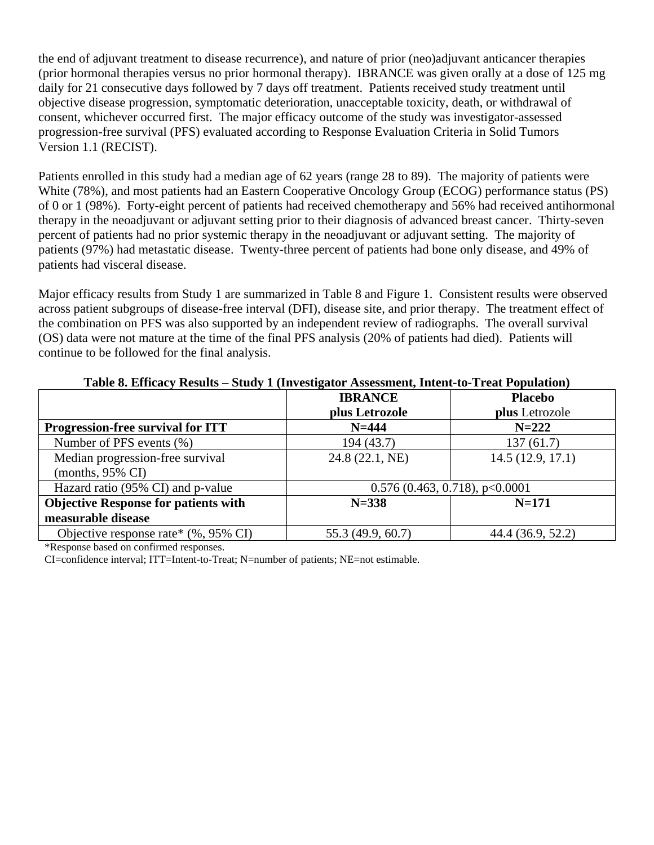the end of adjuvant treatment to disease recurrence), and nature of prior (neo)adjuvant anticancer therapies (prior hormonal therapies versus no prior hormonal therapy). IBRANCE was given orally at a dose of 125 mg daily for 21 consecutive days followed by 7 days off treatment. Patients received study treatment until objective disease progression, symptomatic deterioration, unacceptable toxicity, death, or withdrawal of consent, whichever occurred first. The major efficacy outcome of the study was investigator-assessed progression-free survival (PFS) evaluated according to Response Evaluation Criteria in Solid Tumors Version 1.1 (RECIST).

Patients enrolled in this study had a median age of 62 years (range 28 to 89). The majority of patients were White (78%), and most patients had an Eastern Cooperative Oncology Group (ECOG) performance status (PS) of 0 or 1 (98%). Forty-eight percent of patients had received chemotherapy and 56% had received antihormonal therapy in the neoadjuvant or adjuvant setting prior to their diagnosis of advanced breast cancer. Thirty-seven percent of patients had no prior systemic therapy in the neoadjuvant or adjuvant setting. The majority of patients (97%) had metastatic disease. Twenty-three percent of patients had bone only disease, and 49% of patients had visceral disease.

Major efficacy results from Study 1 are summarized in Table 8 and Figure 1. Consistent results were observed across patient subgroups of disease-free interval (DFI), disease site, and prior therapy. The treatment effect of the combination on PFS was also supported by an independent review of radiographs. The overall survival (OS) data were not mature at the time of the final PFS analysis (20% of patients had died). Patients will continue to be followed for the final analysis.

|                                             | <b>IBRANCE</b>    | <b>Placebo</b>                |
|---------------------------------------------|-------------------|-------------------------------|
|                                             | plus Letrozole    | plus Letrozole                |
| Progression-free survival for ITT           | $N = 444$         | $N = 222$                     |
| Number of PFS events (%)                    | 194 (43.7)        | 137(61.7)                     |
| Median progression-free survival            | 24.8 (22.1, NE)   | 14.5(12.9, 17.1)              |
| $(months, 95\% \text{ CI})$                 |                   |                               |
| Hazard ratio (95% CI) and p-value           |                   | 0.576(0.463, 0.718), p<0.0001 |
| <b>Objective Response for patients with</b> | $N = 338$         | $N = 171$                     |
| measurable disease                          |                   |                               |
| Objective response rate* $(\%$ , 95% CI)    | 55.3 (49.9, 60.7) | 44.4 (36.9, 52.2)             |

### **Table 8. Efficacy Results – Study 1 (Investigator Assessment, Intent-to-Treat Population)**

\*Response based on confirmed responses.

CI=confidence interval; ITT=Intent-to-Treat; N=number of patients; NE=not estimable.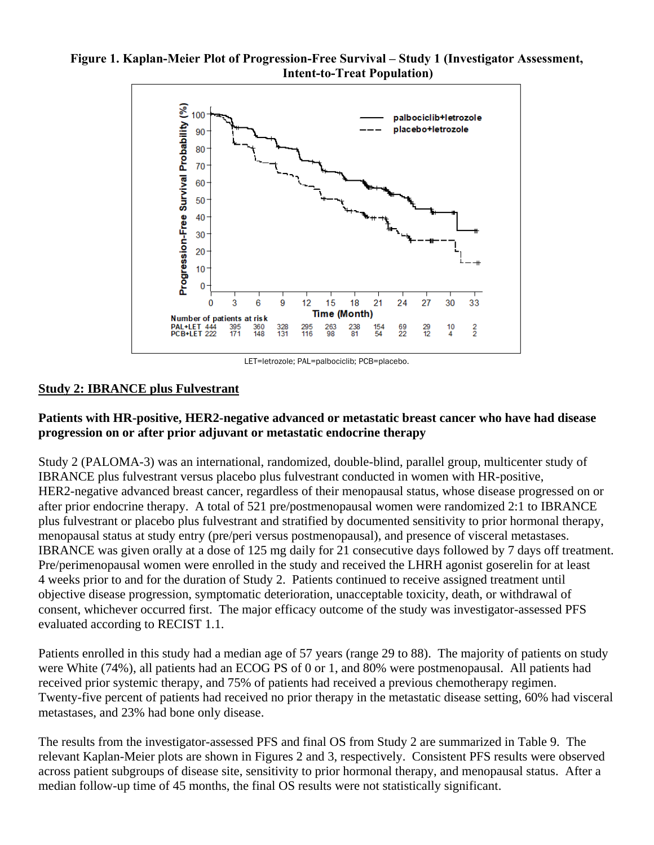### **Figure 1. Kaplan-Meier Plot of Progression-Free Survival – Study 1 (Investigator Assessment, Intent-to-Treat Population)**



LET=letrozole; PAL=palbociclib; PCB=placebo.

# **Study 2: IBRANCE plus Fulvestrant**

# **Patients with HR-positive, HER2-negative advanced or metastatic breast cancer who have had disease progression on or after prior adjuvant or metastatic endocrine therapy**

Study 2 (PALOMA-3) was an international, randomized, double-blind, parallel group, multicenter study of IBRANCE plus fulvestrant versus placebo plus fulvestrant conducted in women with HR-positive, HER2-negative advanced breast cancer, regardless of their menopausal status, whose disease progressed on or after prior endocrine therapy. A total of 521 pre/postmenopausal women were randomized 2:1 to IBRANCE plus fulvestrant or placebo plus fulvestrant and stratified by documented sensitivity to prior hormonal therapy, menopausal status at study entry (pre/peri versus postmenopausal), and presence of visceral metastases. IBRANCE was given orally at a dose of 125 mg daily for 21 consecutive days followed by 7 days off treatment. Pre/perimenopausal women were enrolled in the study and received the LHRH agonist goserelin for at least 4 weeks prior to and for the duration of Study 2. Patients continued to receive assigned treatment until objective disease progression, symptomatic deterioration, unacceptable toxicity, death, or withdrawal of consent, whichever occurred first. The major efficacy outcome of the study was investigator-assessed PFS evaluated according to RECIST 1.1.

Patients enrolled in this study had a median age of 57 years (range 29 to 88). The majority of patients on study were White (74%), all patients had an ECOG PS of 0 or 1, and 80% were postmenopausal. All patients had received prior systemic therapy, and 75% of patients had received a previous chemotherapy regimen. Twenty-five percent of patients had received no prior therapy in the metastatic disease setting, 60% had visceral metastases, and 23% had bone only disease.

The results from the investigator-assessed PFS and final OS from Study 2 are summarized in Table 9. The relevant Kaplan-Meier plots are shown in Figures 2 and 3, respectively. Consistent PFS results were observed across patient subgroups of disease site, sensitivity to prior hormonal therapy, and menopausal status. After a median follow-up time of 45 months, the final OS results were not statistically significant.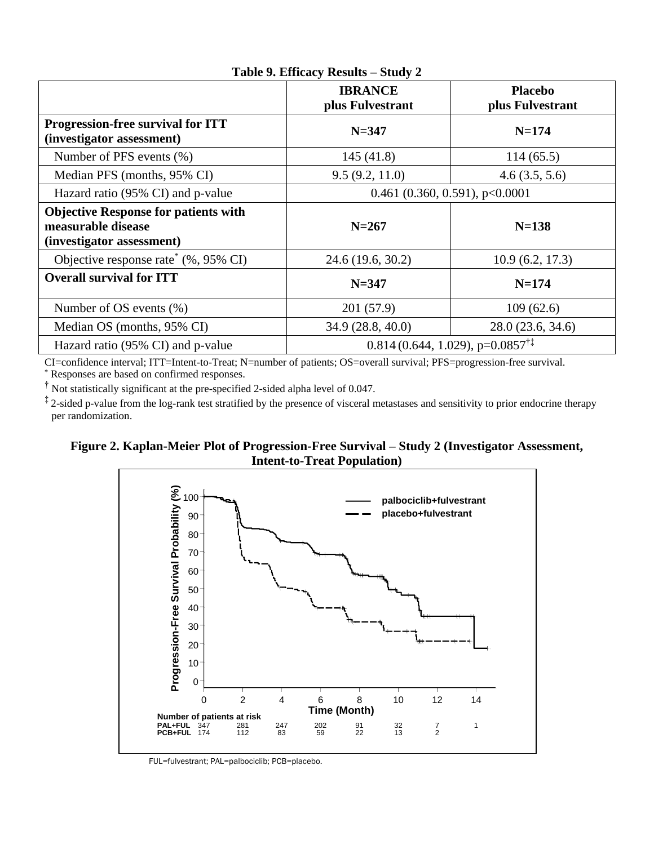|                                                                                                | <b>IBRANCE</b><br>plus Fulvestrant                    | <b>Placebo</b><br>plus Fulvestrant |  |  |
|------------------------------------------------------------------------------------------------|-------------------------------------------------------|------------------------------------|--|--|
| <b>Progression-free survival for ITT</b><br>(investigator assessment)                          | $N = 347$                                             | $N = 174$                          |  |  |
| Number of PFS events (%)                                                                       | 145(41.8)                                             | 114(65.5)                          |  |  |
| Median PFS (months, 95% CI)                                                                    | 9.5(9.2, 11.0)                                        | 4.6(3.5, 5.6)                      |  |  |
| Hazard ratio (95% CI) and p-value                                                              | 0.461 (0.360, 0.591), $p<0.0001$                      |                                    |  |  |
| <b>Objective Response for patients with</b><br>measurable disease<br>(investigator assessment) | $N = 267$                                             | $N=138$                            |  |  |
| Objective response rate <sup>*</sup> (%, 95% CI)                                               | 24.6 (19.6, 30.2)                                     | 10.9(6.2, 17.3)                    |  |  |
| <b>Overall survival for ITT</b>                                                                | $N = 347$                                             | $N = 174$                          |  |  |
| Number of OS events $(\%)$                                                                     | 201 (57.9)                                            | 109(62.6)                          |  |  |
| Median OS (months, 95% CI)                                                                     | 34.9 (28.8, 40.0)                                     | 28.0(23.6, 34.6)                   |  |  |
| Hazard ratio (95% CI) and p-value                                                              | $0.814(0.644, 1.029)$ , p= $0.0857^{\dagger\ddagger}$ |                                    |  |  |

### **Table 9. Efficacy Results – Study 2**

CI=confidence interval; ITT=Intent-to-Treat; N=number of patients; OS=overall survival; PFS=progression-free survival.

\* Responses are based on confirmed responses.

† Not statistically significant at the pre-specified 2-sided alpha level of 0.047.

<sup>‡</sup> 2-sided p-value from the log-rank test stratified by the presence of visceral metastases and sensitivity to prior endocrine therapy per randomization.

### **Figure 2. Kaplan-Meier Plot of Progression-Free Survival – Study 2 (Investigator Assessment, Intent-to-Treat Population)**



FUL=fulvestrant; PAL=palbociclib; PCB=placebo.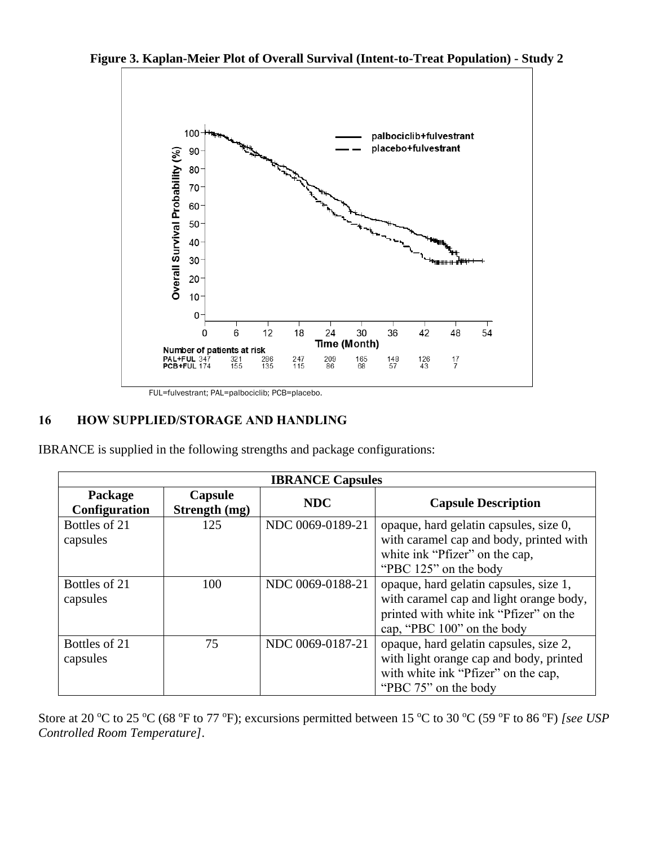**Figure 3. Kaplan-Meier Plot of Overall Survival (Intent-to-Treat Population) - Study 2** 



FUL=fulvestrant; PAL=palbociclib; PCB=placebo.

# **16 HOW SUPPLIED/STORAGE AND HANDLING**

IBRANCE is supplied in the following strengths and package configurations:

| <b>IBRANCE Capsules</b>         |                          |                  |                                                                                                                                                           |  |  |  |
|---------------------------------|--------------------------|------------------|-----------------------------------------------------------------------------------------------------------------------------------------------------------|--|--|--|
| Package<br><b>Configuration</b> | Capsule<br>Strength (mg) | <b>NDC</b>       | <b>Capsule Description</b>                                                                                                                                |  |  |  |
| Bottles of 21<br>capsules       | 125                      | NDC 0069-0189-21 | opaque, hard gelatin capsules, size 0,<br>with caramel cap and body, printed with<br>white ink "Pfizer" on the cap,<br>"PBC 125" on the body              |  |  |  |
| Bottles of 21<br>capsules       | 100                      | NDC 0069-0188-21 | opaque, hard gelatin capsules, size 1,<br>with caramel cap and light orange body,<br>printed with white ink "Pfizer" on the<br>cap, "PBC 100" on the body |  |  |  |
| Bottles of 21<br>capsules       | 75                       | NDC 0069-0187-21 | opaque, hard gelatin capsules, size 2,<br>with light orange cap and body, printed<br>with white ink "Pfizer" on the cap,<br>"PBC 75" on the body          |  |  |  |

Store at 20 °C to 25 °C (68 °F to 77 °F); excursions permitted between 15 °C to 30 °C (59 °F to 86 °F) *[see USP Controlled Room Temperature]*.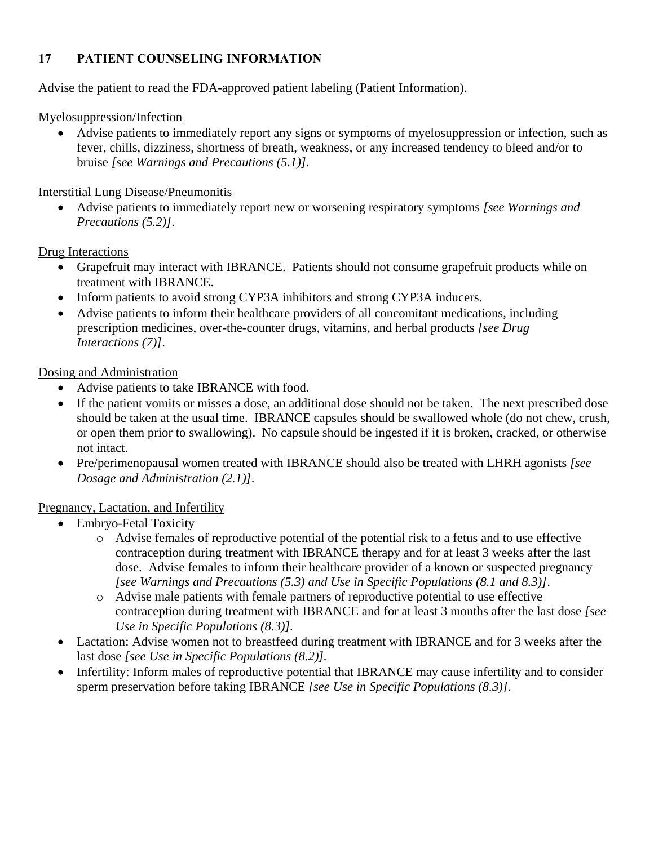# **17 PATIENT COUNSELING INFORMATION**

Advise the patient to read the FDA-approved patient labeling (Patient Information).

Myelosuppression/Infection

• Advise patients to immediately report any signs or symptoms of myelosuppression or infection, such as fever, chills, dizziness, shortness of breath, weakness, or any increased tendency to bleed and/or to bruise *[see Warnings and Precautions (5.1)]*.

Interstitial Lung Disease/Pneumonitis

• Advise patients to immediately report new or worsening respiratory symptoms *[see Warnings and Precautions (5.2)]*.

Drug Interactions

- Grapefruit may interact with IBRANCE. Patients should not consume grapefruit products while on treatment with IBRANCE.
- Inform patients to avoid strong CYP3A inhibitors and strong CYP3A inducers.
- Advise patients to inform their healthcare providers of all concomitant medications, including prescription medicines, over-the-counter drugs, vitamins, and herbal products *[see Drug Interactions (7)]*.

Dosing and Administration

- Advise patients to take IBRANCE with food.
- If the patient vomits or misses a dose, an additional dose should not be taken. The next prescribed dose should be taken at the usual time. IBRANCE capsules should be swallowed whole (do not chew, crush, or open them prior to swallowing). No capsule should be ingested if it is broken, cracked, or otherwise not intact.
- Pre/perimenopausal women treated with IBRANCE should also be treated with LHRH agonists *[see Dosage and Administration (2.1)]*.

# Pregnancy, Lactation, and Infertility

- Embryo-Fetal Toxicity
	- o Advise females of reproductive potential of the potential risk to a fetus and to use effective contraception during treatment with IBRANCE therapy and for at least 3 weeks after the last dose. Advise females to inform their healthcare provider of a known or suspected pregnancy *[see Warnings and Precautions (5.3) and Use in Specific Populations (8.1 and 8.3)]*.
	- o Advise male patients with female partners of reproductive potential to use effective contraception during treatment with IBRANCE and for at least 3 months after the last dose *[see Use in Specific Populations (8.3)].*
- Lactation: Advise women not to breastfeed during treatment with IBRANCE and for 3 weeks after the last dose *[see Use in Specific Populations (8.2)].*
- Infertility: Inform males of reproductive potential that IBRANCE may cause infertility and to consider sperm preservation before taking IBRANCE *[see Use in Specific Populations (8.3)]*.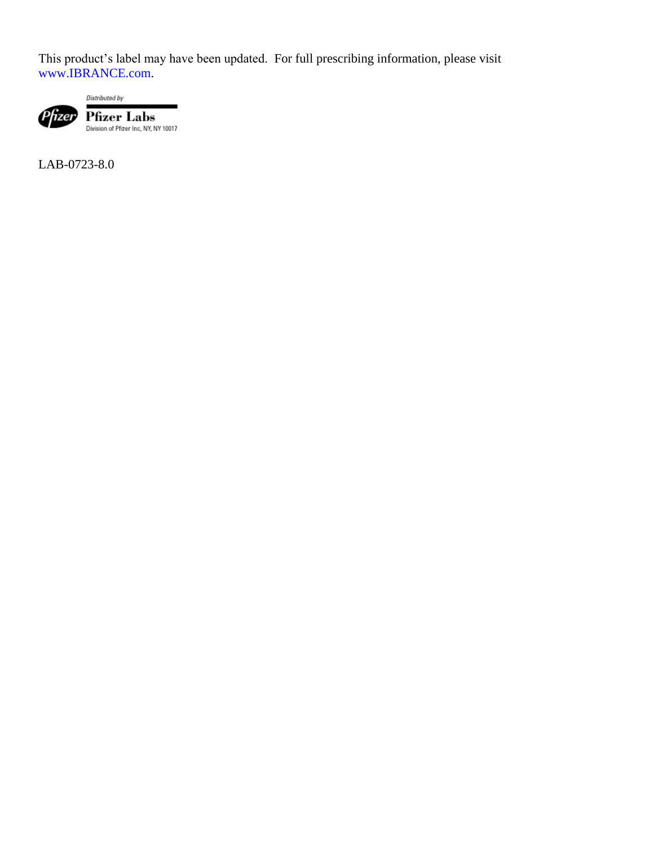This product's label may have been updated. For full prescribing information, please visit [www.IBRANCE.com.](http://www.ibrance.com/)



Distributed by  $\begin{array}{ll} \mbox{\textbf{Pfizer} } \textbf{Labs} \\ \mbox{\textbf{Division of Pfizer Inc, NY, NY 10017}} \end{array}$ 

LAB-0723-8.0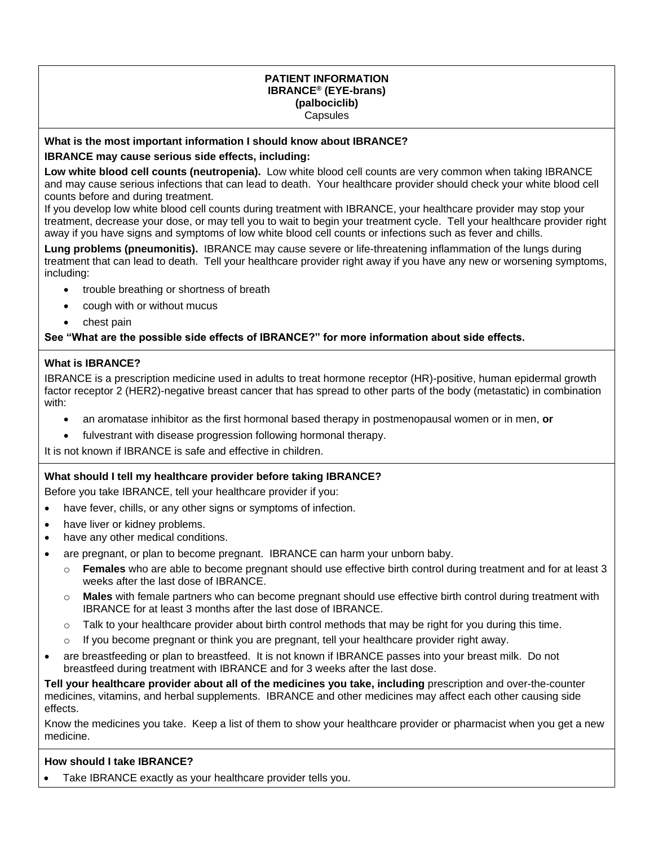#### **PATIENT INFORMATION IBRANCE® (EYE-brans) (palbociclib) Capsules**

#### **What is the most important information I should know about IBRANCE?**

#### **IBRANCE may cause serious side effects, including:**

**Low white blood cell counts (neutropenia).** Low white blood cell counts are very common when taking IBRANCE and may cause serious infections that can lead to death. Your healthcare provider should check your white blood cell counts before and during treatment.

If you develop low white blood cell counts during treatment with IBRANCE, your healthcare provider may stop your treatment, decrease your dose, or may tell you to wait to begin your treatment cycle. Tell your healthcare provider right away if you have signs and symptoms of low white blood cell counts or infections such as fever and chills.

**Lung problems (pneumonitis).** IBRANCE may cause severe or life-threatening inflammation of the lungs during treatment that can lead to death. Tell your healthcare provider right away if you have any new or worsening symptoms, including:

- trouble breathing or shortness of breath
- cough with or without mucus
- chest pain

#### **See "What are the possible side effects of IBRANCE?" for more information about side effects.**

#### **What is IBRANCE?**

IBRANCE is a prescription medicine used in adults to treat hormone receptor (HR)-positive, human epidermal growth factor receptor 2 (HER2)-negative breast cancer that has spread to other parts of the body (metastatic) in combination with:

- an aromatase inhibitor as the first hormonal based therapy in postmenopausal women or in men, **or**
- fulvestrant with disease progression following hormonal therapy.

It is not known if IBRANCE is safe and effective in children.

#### **What should I tell my healthcare provider before taking IBRANCE?**

Before you take IBRANCE, tell your healthcare provider if you:

- have fever, chills, or any other signs or symptoms of infection.
- have liver or kidney problems.
- have any other medical conditions.
- are pregnant, or plan to become pregnant. IBRANCE can harm your unborn baby.
	- o **Females** who are able to become pregnant should use effective birth control during treatment and for at least 3 weeks after the last dose of IBRANCE.
	- o **Males** with female partners who can become pregnant should use effective birth control during treatment with IBRANCE for at least 3 months after the last dose of IBRANCE.
	- $\circ$  Talk to your healthcare provider about birth control methods that may be right for you during this time.
	- $\circ$  If you become pregnant or think you are pregnant, tell your healthcare provider right away.
- are breastfeeding or plan to breastfeed. It is not known if IBRANCE passes into your breast milk. Do not breastfeed during treatment with IBRANCE and for 3 weeks after the last dose.

**Tell your healthcare provider about all of the medicines you take, including** prescription and over-the-counter medicines, vitamins, and herbal supplements. IBRANCE and other medicines may affect each other causing side effects.

Know the medicines you take. Keep a list of them to show your healthcare provider or pharmacist when you get a new medicine.

#### **How should I take IBRANCE?**

Take IBRANCE exactly as your healthcare provider tells you.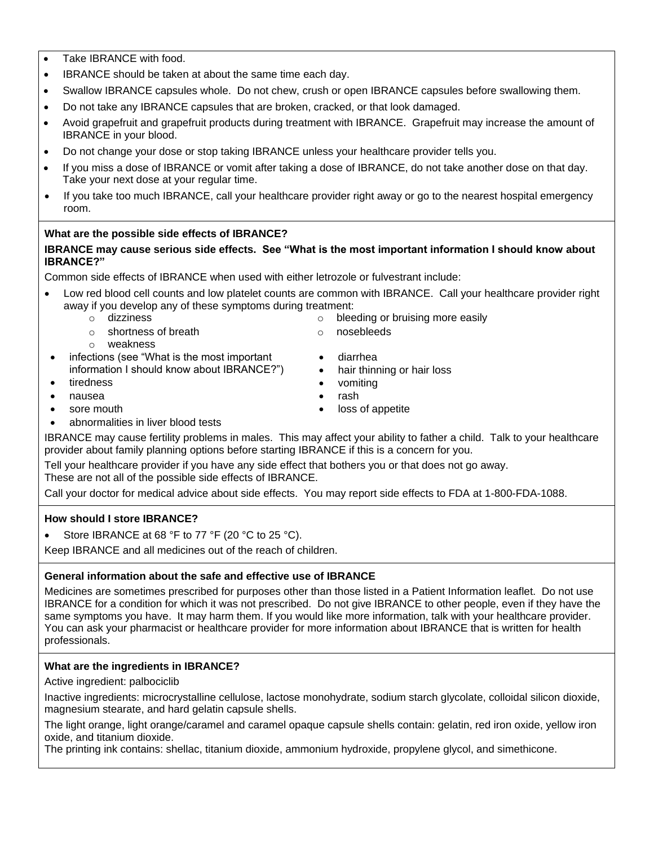- Take IBRANCE with food.
- IBRANCE should be taken at about the same time each day.
- Swallow IBRANCE capsules whole. Do not chew, crush or open IBRANCE capsules before swallowing them.
- Do not take any IBRANCE capsules that are broken, cracked, or that look damaged.
- Avoid grapefruit and grapefruit products during treatment with IBRANCE. Grapefruit may increase the amount of IBRANCE in your blood.
- Do not change your dose or stop taking IBRANCE unless your healthcare provider tells you.
- If you miss a dose of IBRANCE or vomit after taking a dose of IBRANCE, do not take another dose on that day. Take your next dose at your regular time.
- If you take too much IBRANCE, call your healthcare provider right away or go to the nearest hospital emergency room.

# **What are the possible side effects of IBRANCE?**

#### **IBRANCE may cause serious side effects. See "What is the most important information I should know about IBRANCE?"**

Common side effects of IBRANCE when used with either letrozole or fulvestrant include:

- Low red blood cell counts and low platelet counts are common with IBRANCE. Call your healthcare provider right away if you develop any of these symptoms during treatment:
	- o dizziness o bleeding or bruising more easily
	- o shortness of breath
- o nosebleeds
- o weakness infections (see "What is the most important information I should know about IBRANCE?")
- tiredness
- nausea
- sore mouth
- abnormalities in liver blood tests

IBRANCE may cause fertility problems in males. This may affect your ability to father a child. Talk to your healthcare provider about family planning options before starting IBRANCE if this is a concern for you.

Tell your healthcare provider if you have any side effect that bothers you or that does not go away. These are not all of the possible side effects of IBRANCE.

Call your doctor for medical advice about side effects. You may report side effects to FDA at 1-800-FDA-1088.

### **How should I store IBRANCE?**

Store IBRANCE at 68 °F to 77 °F (20 °C to 25 °C).

Keep IBRANCE and all medicines out of the reach of children.

### **General information about the safe and effective use of IBRANCE**

Medicines are sometimes prescribed for purposes other than those listed in a Patient Information leaflet. Do not use IBRANCE for a condition for which it was not prescribed. Do not give IBRANCE to other people, even if they have the same symptoms you have. It may harm them. If you would like more information, talk with your healthcare provider. You can ask your pharmacist or healthcare provider for more information about IBRANCE that is written for health professionals.

### **What are the ingredients in IBRANCE?**

Active ingredient: palbociclib

Inactive ingredients: microcrystalline cellulose, lactose monohydrate, sodium starch glycolate, colloidal silicon dioxide, magnesium stearate, and hard gelatin capsule shells.

The light orange, light orange/caramel and caramel opaque capsule shells contain: gelatin, red iron oxide, yellow iron oxide, and titanium dioxide.

The printing ink contains: shellac, titanium dioxide, ammonium hydroxide, propylene glycol, and simethicone.

- diarrhea
	- hair thinning or hair loss
- vomiting
- rash
- loss of appetite
- 
- 
- 
-